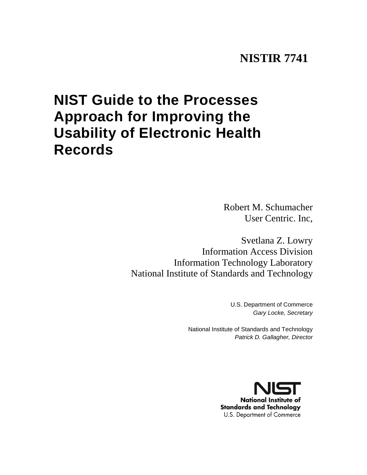# **NISTIR 7741**

# <span id="page-0-0"></span>**NIST Guide to the Processes Approach for Improving the Usability of Electronic Health Records**

Robert M. Schumacher User Centric. Inc,

Svetlana Z. Lowry Information Access Division Information Technology Laboratory National Institute of Standards and Technology

> U.S. Department of Commerce *Gary Locke, Secretary*

National Institute of Standards and Technology *Patrick D. Gallagher, Director*

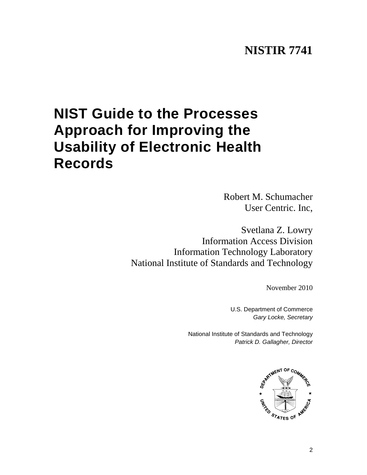# **NISTIR 7741**

# <span id="page-1-0"></span>**NIST Guide to the Processes Approach for Improving the Usability of Electronic Health Records**

Robert M. Schumacher User Centric. Inc,

Svetlana Z. Lowry Information Access Division Information Technology Laboratory National Institute of Standards and Technology

November 2010

U.S. Department of Commerce *Gary Locke, Secretary*

National Institute of Standards and Technology *Patrick D. Gallagher, Director*

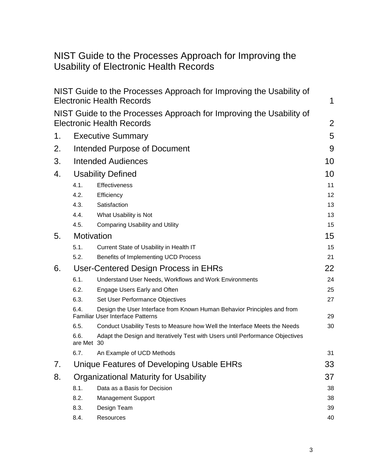# NIST Guide to the Processes Approach for Improving the Usability of Electronic Health Records

|    |                                 | NIST Guide to the Processes Approach for Improving the Usability of<br><b>Electronic Health Records</b>            | 1              |
|----|---------------------------------|--------------------------------------------------------------------------------------------------------------------|----------------|
|    |                                 | NIST Guide to the Processes Approach for Improving the Usability of<br><b>Electronic Health Records</b>            | $\overline{2}$ |
| 1. | <b>Executive Summary</b>        |                                                                                                                    |                |
| 2. |                                 | Intended Purpose of Document                                                                                       | 9              |
| 3. | <b>Intended Audiences</b><br>10 |                                                                                                                    |                |
| 4. | <b>Usability Defined</b>        |                                                                                                                    |                |
|    | 4.1.                            | Effectiveness                                                                                                      | 10<br>11       |
|    | 4.2.                            | Efficiency                                                                                                         | 12             |
|    | 4.3.                            | Satisfaction                                                                                                       | 13             |
|    | 4.4.                            | What Usability is Not                                                                                              | 13             |
|    | 4.5.                            | <b>Comparing Usability and Utility</b>                                                                             | 15             |
| 5. | Motivation                      |                                                                                                                    |                |
|    | 5.1.                            | Current State of Usability in Health IT                                                                            | 15             |
|    | 5.2.                            | Benefits of Implementing UCD Process                                                                               | 21             |
| 6. |                                 | User-Centered Design Process in EHRs                                                                               | 22             |
|    | 6.1.                            | Understand User Needs, Workflows and Work Environments                                                             | 24             |
|    | 6.2.                            | Engage Users Early and Often                                                                                       | 25             |
|    | 6.3.                            | Set User Performance Objectives                                                                                    | 27             |
|    | 6.4.                            | Design the User Interface from Known Human Behavior Principles and from<br><b>Familiar User Interface Patterns</b> | 29             |
|    | 6.5.                            | Conduct Usability Tests to Measure how Well the Interface Meets the Needs                                          | 30             |
|    | 6.6.<br>are Met 30              | Adapt the Design and Iteratively Test with Users until Performance Objectives                                      |                |
|    | 6.7.                            | An Example of UCD Methods                                                                                          | 31             |
| 7. |                                 | Unique Features of Developing Usable EHRs                                                                          | 33             |
| 8. |                                 | <b>Organizational Maturity for Usability</b>                                                                       | 37             |
|    | 8.1.                            | Data as a Basis for Decision                                                                                       | 38             |
|    | 8.2.                            | <b>Management Support</b>                                                                                          | 38             |
|    | 8.3.                            | Design Team                                                                                                        | 39             |
|    | 8.4.                            | Resources                                                                                                          | 40             |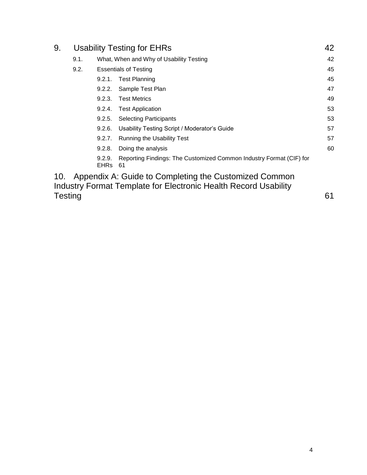| 9.             | <b>Usability Testing for EHRs</b> |                       |                                                                                                                          | 42 |
|----------------|-----------------------------------|-----------------------|--------------------------------------------------------------------------------------------------------------------------|----|
|                | 9.1.                              |                       | What, When and Why of Usability Testing                                                                                  | 42 |
|                | 9.2.                              |                       | <b>Essentials of Testing</b>                                                                                             | 45 |
|                |                                   | 9.2.1.                | <b>Test Planning</b>                                                                                                     | 45 |
|                |                                   | 9.2.2.                | Sample Test Plan                                                                                                         | 47 |
|                |                                   | 9.2.3.                | <b>Test Metrics</b>                                                                                                      | 49 |
|                |                                   | 9.2.4.                | <b>Test Application</b>                                                                                                  | 53 |
|                |                                   | 9.2.5.                | <b>Selecting Participants</b>                                                                                            | 53 |
|                |                                   | 9.2.6.                | Usability Testing Script / Moderator's Guide                                                                             | 57 |
|                |                                   | 9.2.7.                | <b>Running the Usability Test</b>                                                                                        | 57 |
|                |                                   | 9.2.8.                | Doing the analysis                                                                                                       | 60 |
|                |                                   | 9.2.9.<br><b>EHRs</b> | Reporting Findings: The Customized Common Industry Format (CIF) for<br>61                                                |    |
| 10.            |                                   |                       | Appendix A: Guide to Completing the Customized Common<br>Industry Format Template for Electronic Health Record Usability |    |
| <b>Testing</b> |                                   |                       |                                                                                                                          | 61 |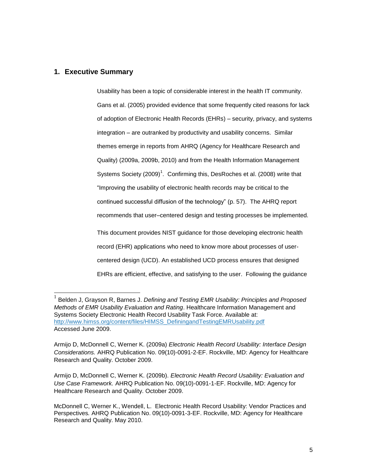# <span id="page-4-0"></span>**1. Executive Summary**

l

Usability has been a topic of considerable interest in the health IT community. Gans et al. (2005) provided evidence that some frequently cited reasons for lack of adoption of Electronic Health Records (EHRs) – security, privacy, and systems integration – are outranked by productivity and usability concerns. Similar themes emerge in reports from AHRQ (Agency for Healthcare Research and Quality) (2009a, 2009b, 2010) and from the Health Information Management Systems Society (2009)<sup>1</sup>. Confirming this, DesRoches et al. (2008) write that "Improving the usability of electronic health records may be critical to the continued successful diffusion of the technology" (p. 57). The AHRQ report recommends that user–centered design and testing processes be implemented. This document provides NIST guidance for those developing electronic health record (EHR) applications who need to know more about processes of usercentered design (UCD). An established UCD process ensures that designed EHRs are efficient, effective, and satisfying to the user. Following the guidance

<sup>1</sup> Belden J, Grayson R, Barnes J. *Defining and Testing EMR Usability: Principles and Proposed Methods of EMR Usability Evaluation and Rating*. Healthcare Information Management and Systems Society Electronic Health Record Usability Task Force. Available at: [http://www.himss.org/content/files/HIMSS\\_DefiningandTestingEMRUsability.pdf](http://www.himss.org/content/files/HIMSS_DefiningandTestingEMRUsability.pdfAccessed) Accessed June 2009.

Armijo D, McDonnell C, Werner K. (2009a) *Electronic Health Record Usability: Interface Design Considerations.* AHRQ Publication No. 09(10)-0091-2-EF. Rockville, MD: Agency for Healthcare Research and Quality. October 2009.

Armijo D, McDonnell C, Werner K. (2009b). *Electronic Health Record Usability: Evaluation and Use Case Framework.* AHRQ Publication No. 09(10)-0091-1-EF. Rockville, MD: Agency for Healthcare Research and Quality. October 2009.

McDonnell C, Werner K., Wendell, L. Electronic Health Record Usability: Vendor Practices and Perspectives*.* AHRQ Publication No. 09(10)-0091-3-EF. Rockville, MD: Agency for Healthcare Research and Quality. May 2010.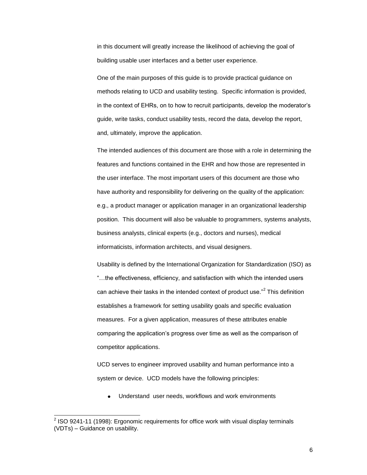in this document will greatly increase the likelihood of achieving the goal of building usable user interfaces and a better user experience.

One of the main purposes of this guide is to provide practical guidance on methods relating to UCD and usability testing. Specific information is provided, in the context of EHRs, on to how to recruit participants, develop the moderator's guide, write tasks, conduct usability tests, record the data, develop the report, and, ultimately, improve the application.

The intended audiences of this document are those with a role in determining the features and functions contained in the EHR and how those are represented in the user interface. The most important users of this document are those who have authority and responsibility for delivering on the quality of the application: e.g., a product manager or application manager in an organizational leadership position. This document will also be valuable to programmers, systems analysts, business analysts, clinical experts (e.g., doctors and nurses), medical informaticists, information architects, and visual designers.

Usability is defined by the International Organization for Standardization (ISO) as ―…the effectiveness, efficiency, and satisfaction with which the intended users can achieve their tasks in the intended context of product use."<sup>2</sup> This definition establishes a framework for setting usability goals and specific evaluation measures. For a given application, measures of these attributes enable comparing the application's progress over time as well as the comparison of competitor applications.

UCD serves to engineer improved usability and human performance into a system or device. UCD models have the following principles:

Understand user needs, workflows and work environments

 2 ISO 9241-11 (1998): Ergonomic requirements for office work with visual display terminals (VDTs) – Guidance on usability.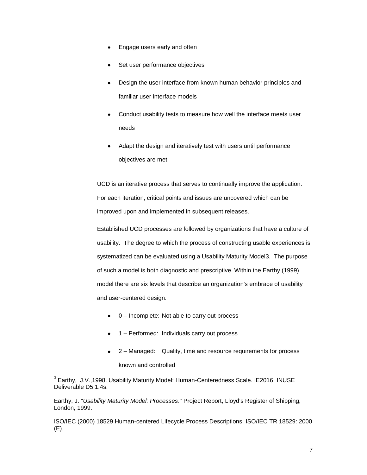- Engage users early and often
- Set user performance objectives
- Design the user interface from known human behavior principles and familiar user interface models
- Conduct usability tests to measure how well the interface meets user needs
- Adapt the design and iteratively test with users until performance objectives are met

UCD is an iterative process that serves to continually improve the application. For each iteration, critical points and issues are uncovered which can be improved upon and implemented in subsequent releases.

Established UCD processes are followed by organizations that have a culture of usability. The degree to which the process of constructing usable experiences is systematized can be evaluated using a Usability Maturity Model3. The purpose of such a model is both diagnostic and prescriptive. Within the Earthy (1999) model there are six levels that describe an organization's embrace of usability and user-centered design:

- $\bullet$  0 Incomplete: Not able to carry out process
- 1 Performed: Individuals carry out process
- 2 Managed: Quality, time and resource requirements for process known and controlled

Earthy, J. "*Usability Maturity Model: Processes*." Project Report, Lloyd's Register of Shipping, London, 1999.

ISO/IEC (2000) 18529 Human-centered Lifecycle Process Descriptions, ISO/IEC TR 18529: 2000 (E).

 3 Earthy, J.V.,1998. Usability Maturity Model: Human-Centeredness Scale. IE2016 INUSE Deliverable D5.1.4s.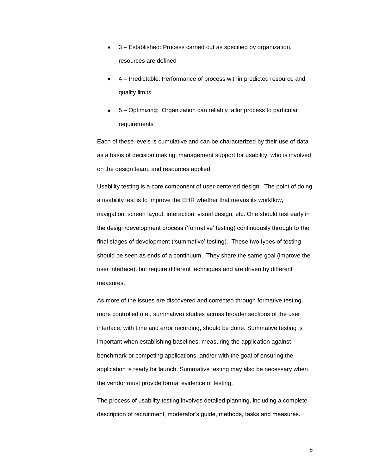- 3 Established: Process carried out as specified by organization, resources are defined
- 4 Predictable: Performance of process within predicted resource and quality limits
- 5 Optimizing: Organization can reliably tailor process to particular requirements

Each of these levels is cumulative and can be characterized by their use of data as a basis of decision making, management support for usability, who is involved on the design team, and resources applied.

Usability testing is a core component of user-centered design. The point of doing a usability test is to improve the EHR whether that means its workflow, navigation, screen layout, interaction, visual design, etc. One should test early in the design/development process (‗formative' testing) continuously through to the final stages of development (‗summative' testing). These two types of testing should be seen as ends of a continuum. They share the same goal (improve the user interface), but require different techniques and are driven by different measures.

As more of the issues are discovered and corrected through formative testing, more controlled (i.e., summative) studies across broader sections of the user interface, with time and error recording, should be done. Summative testing is important when establishing baselines, measuring the application against benchmark or competing applications, and/or with the goal of ensuring the application is ready for launch. Summative testing may also be necessary when the vendor must provide formal evidence of testing.

The process of usability testing involves detailed planning, including a complete description of recruitment, moderator's guide, methods, tasks and measures.

8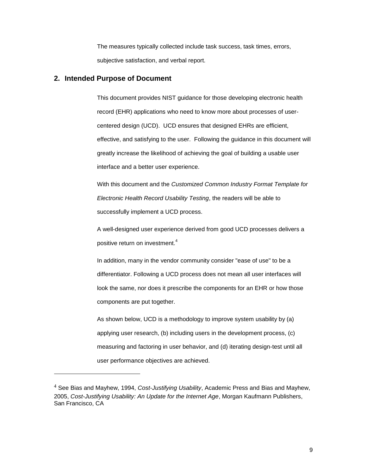The measures typically collected include task success, task times, errors, subjective satisfaction, and verbal report.

## <span id="page-8-0"></span>**2. Intended Purpose of Document**

l

This document provides NIST guidance for those developing electronic health record (EHR) applications who need to know more about processes of usercentered design (UCD). UCD ensures that designed EHRs are efficient, effective, and satisfying to the user. Following the guidance in this document will greatly increase the likelihood of achieving the goal of building a usable user interface and a better user experience.

With this document and the *Customized Common Industry Format Template for Electronic Health Record Usability Testing*, the readers will be able to successfully implement a UCD process.

A well-designed user experience derived from good UCD processes delivers a positive return on investment.<sup>4</sup>

In addition, many in the vendor community consider "ease of use" to be a differentiator. Following a UCD process does not mean all user interfaces will look the same, nor does it prescribe the components for an EHR or how those components are put together.

As shown below, UCD is a methodology to improve system usability by (a) applying user research, (b) including users in the development process, (c) measuring and factoring in user behavior, and (d) iterating design-test until all user performance objectives are achieved.

<sup>4</sup> See Bias and Mayhew, 1994, *Cost-Justifying Usability*, Academic Press and Bias and Mayhew, 2005, *Cost-Justifying Usability: An Update for the Internet Age*, Morgan Kaufmann Publishers, San Francisco, CA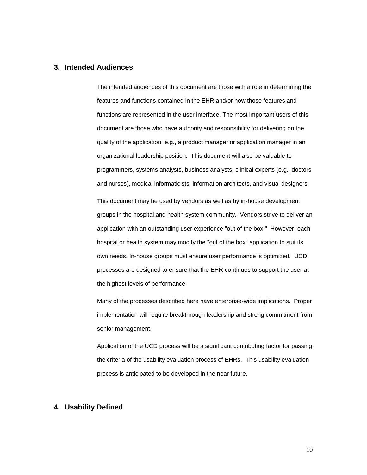# <span id="page-9-0"></span>**3. Intended Audiences**

The intended audiences of this document are those with a role in determining the features and functions contained in the EHR and/or how those features and functions are represented in the user interface. The most important users of this document are those who have authority and responsibility for delivering on the quality of the application: e.g., a product manager or application manager in an organizational leadership position. This document will also be valuable to programmers, systems analysts, business analysts, clinical experts (e.g., doctors and nurses), medical informaticists, information architects, and visual designers.

This document may be used by vendors as well as by in-house development groups in the hospital and health system community. Vendors strive to deliver an application with an outstanding user experience "out of the box." However, each hospital or health system may modify the "out of the box" application to suit its own needs. In-house groups must ensure user performance is optimized. UCD processes are designed to ensure that the EHR continues to support the user at the highest levels of performance.

Many of the processes described here have enterprise-wide implications. Proper implementation will require breakthrough leadership and strong commitment from senior management.

Application of the UCD process will be a significant contributing factor for passing the criteria of the usability evaluation process of EHRs. This usability evaluation process is anticipated to be developed in the near future.

## <span id="page-9-1"></span>**4. Usability Defined**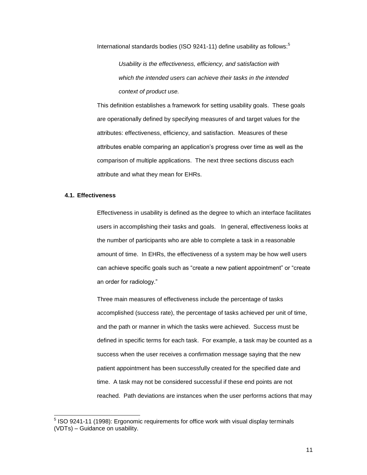International standards bodies (ISO 9241-11) define usability as follows:<sup>5</sup>

*Usability is the effectiveness, efficiency, and satisfaction with which the intended users can achieve their tasks in the intended context of product use.*

This definition establishes a framework for setting usability goals. These goals are operationally defined by specifying measures of and target values for the attributes: effectiveness, efficiency, and satisfaction. Measures of these attributes enable comparing an application's progress over time as well as the comparison of multiple applications. The next three sections discuss each attribute and what they mean for EHRs.

## <span id="page-10-0"></span>**4.1. Effectiveness**

Effectiveness in usability is defined as the degree to which an interface facilitates users in accomplishing their tasks and goals. In general, effectiveness looks at the number of participants who are able to complete a task in a reasonable amount of time. In EHRs, the effectiveness of a system may be how well users can achieve specific goals such as "create a new patient appointment" or "create an order for radiology."

Three main measures of effectiveness include the percentage of tasks accomplished (success rate), the percentage of tasks achieved per unit of time, and the path or manner in which the tasks were achieved. Success must be defined in specific terms for each task. For example, a task may be counted as a success when the user receives a confirmation message saying that the new patient appointment has been successfully created for the specified date and time. A task may not be considered successful if these end points are not reached. Path deviations are instances when the user performs actions that may

 5 ISO 9241-11 (1998): Ergonomic requirements for office work with visual display terminals (VDTs) – Guidance on usability.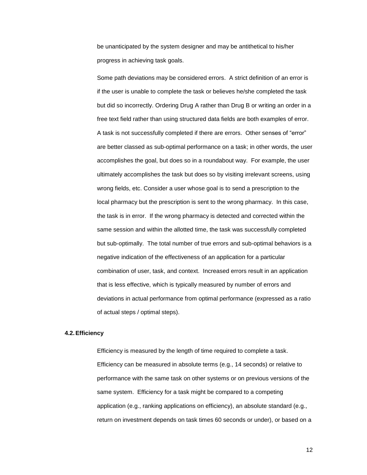be unanticipated by the system designer and may be antithetical to his/her progress in achieving task goals.

Some path deviations may be considered errors. A strict definition of an error is if the user is unable to complete the task or believes he/she completed the task but did so incorrectly. Ordering Drug A rather than Drug B or writing an order in a free text field rather than using structured data fields are both examples of error. A task is not successfully completed if there are errors. Other senses of "error" are better classed as sub-optimal performance on a task; in other words, the user accomplishes the goal, but does so in a roundabout way. For example, the user ultimately accomplishes the task but does so by visiting irrelevant screens, using wrong fields, etc. Consider a user whose goal is to send a prescription to the local pharmacy but the prescription is sent to the wrong pharmacy. In this case, the task is in error. If the wrong pharmacy is detected and corrected within the same session and within the allotted time, the task was successfully completed but sub-optimally. The total number of true errors and sub-optimal behaviors is a negative indication of the effectiveness of an application for a particular combination of user, task, and context. Increased errors result in an application that is less effective, which is typically measured by number of errors and deviations in actual performance from optimal performance (expressed as a ratio of actual steps / optimal steps).

## <span id="page-11-0"></span>**4.2.Efficiency**

Efficiency is measured by the length of time required to complete a task. Efficiency can be measured in absolute terms (e.g., 14 seconds) or relative to performance with the same task on other systems or on previous versions of the same system. Efficiency for a task might be compared to a competing application (e.g., ranking applications on efficiency), an absolute standard (e.g., return on investment depends on task times 60 seconds or under), or based on a

12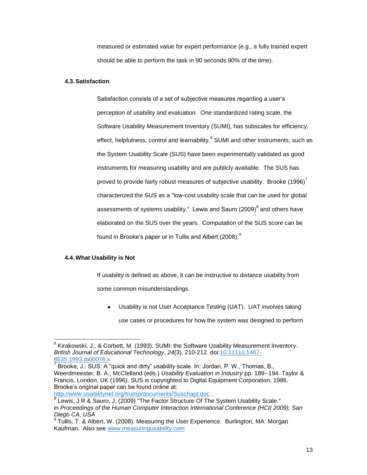measured or estimated value for expert performance (e.g., a fully trained expert should be able to perform the task in 90 seconds 90% of the time).

#### <span id="page-12-0"></span>**4.3.Satisfaction**

Satisfaction consists of a set of subjective measures regarding a user's perception of usability and evaluation. One standardized rating scale, the Software Usability Measurement Inventory (SUMI), has subscales for efficiency, effect, helpfulness, control and learnability.<sup>6</sup> SUMI and other instruments, such as the System Usability Scale (SUS) have been experimentally validated as good instruments for measuring usability and are publicly available. The SUS has proved to provide fairly robust measures of subjective usability. Brooke  $(1996)^7$ characterized the SUS as a "low-cost usability scale that can be used for global assessments of systems usability." Lewis and Sauro (2009) $^8$  and others have elaborated on the SUS over the years. Computation of the SUS score can be found in Brooke's paper or in Tullis and Albert (2008). $^9$ 

#### <span id="page-12-1"></span>**4.4.What Usability is Not**

If usability is defined as above, it can be instructive to distance usability from some common misunderstandings.

Usability is not User Acceptance Testing (UAT). UAT involves taking use cases or procedures for how the system was designed to perform

 6 Kirakowski, J., & Corbett, M. (1993). SUMI: the Software Usability Measurement Inventory. *British Journal of Educational Technology*, *24*(3), 210-212. doi[:10.1111/j.1467-](http://dx.doi.org/10.1111/j.1467-8535.1993.tb00076.x) [8535.1993.tb00076.x](http://dx.doi.org/10.1111/j.1467-8535.1993.tb00076.x)<br><sup>7</sup> Prooke Li SUS: A '

Brooke, J.: SUS: A "quick and dirty" usability scale. In: Jordan, P. W., Thomas, B., Weerdmeester, B. A., McClelland (eds.) *Usability Evaluation in Industry* pp. 189--194. Taylor & Francis, London, UK (1996). SUS is copyrighted to Digital Equipment Corporation, 1986. Brooke's original paper can be found online at:

<http://www.usabilitynet.org/trump/documents/Suschapt.doc> .

<sup>&</sup>lt;sup>8</sup> Lewis, J R & Sauro, J. (2009) "The Factor Structure Of The System Usability Scale." in *Proceedings of the Human Computer Interaction International Conference (HCII 2009), San Diego CA, USA*

<sup>&</sup>lt;sup>9</sup> Tullis, T. & Albert, W. (2008). Measuring the User Experience. Burlington, MA: Morgan Kaufman. Also see [www.measuringusability.com](http://www.measuringusability.com/)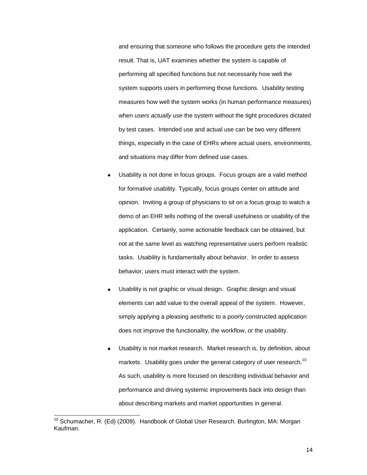and ensuring that someone who follows the procedure gets the intended result. That is, UAT examines whether the system is capable of performing all specified functions but not necessarily how well the system supports users in performing those functions. Usability testing measures how well the system works (in human performance measures) when *users actually use* the system without the tight procedures dictated by test cases. Intended use and actual use can be two very different things, especially in the case of EHRs where actual users, environments, and situations may differ from defined use cases.

- Usability is not done in focus groups. Focus groups are a valid method for formative usability. Typically, focus groups center on attitude and opinion. Inviting a group of physicians to sit on a focus group to watch a demo of an EHR tells nothing of the overall usefulness or usability of the application. Certainly, some actionable feedback can be obtained, but not at the same level as watching representative users perform realistic tasks. Usability is fundamentally about behavior. In order to assess behavior, users must interact with the system.
- Usability is not graphic or visual design. Graphic design and visual elements can add value to the overall appeal of the system. However, simply applying a pleasing aesthetic to a poorly constructed application does not improve the functionality, the workflow, or the usability.
- Usability is not market research. Market research is, by definition, about markets. Usability goes under the general category of user research.<sup>10</sup> As such, usability is more focused on describing individual behavior and performance and driving systemic improvements back into design than about describing markets and market opportunities in general.

j

<sup>&</sup>lt;sup>10</sup> Schumacher, R. (Ed) (2009). Handbook of Global User Research. Burlington, MA: Morgan Kaufman.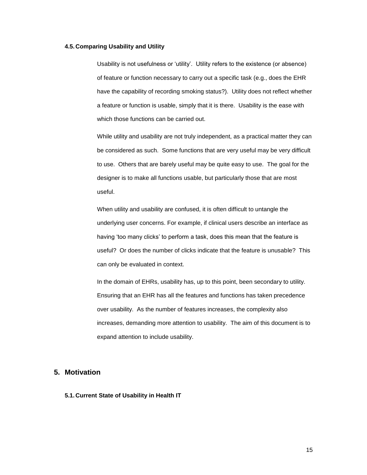#### <span id="page-14-0"></span>**4.5. Comparing Usability and Utility**

Usability is not usefulness or 'utility'. Utility refers to the existence (or absence) of feature or function necessary to carry out a specific task (e.g., does the EHR have the capability of recording smoking status?). Utility does not reflect whether a feature or function is usable, simply that it is there. Usability is the ease with which those functions can be carried out.

While utility and usability are not truly independent, as a practical matter they can be considered as such. Some functions that are very useful may be very difficult to use. Others that are barely useful may be quite easy to use. The goal for the designer is to make all functions usable, but particularly those that are most useful.

When utility and usability are confused, it is often difficult to untangle the underlying user concerns. For example, if clinical users describe an interface as having 'too many clicks' to perform a task, does this mean that the feature is useful? Or does the number of clicks indicate that the feature is unusable? This can only be evaluated in context.

In the domain of EHRs, usability has, up to this point, been secondary to utility. Ensuring that an EHR has all the features and functions has taken precedence over usability. As the number of features increases, the complexity also increases, demanding more attention to usability. The aim of this document is to expand attention to include usability.

# <span id="page-14-1"></span>**5. Motivation**

#### <span id="page-14-2"></span>**5.1. Current State of Usability in Health IT**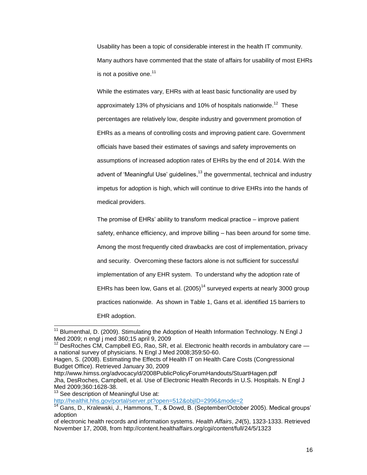Usability has been a topic of considerable interest in the health IT community. Many authors have commented that the state of affairs for usability of most EHRs is not a positive one. $11$ 

While the estimates vary, EHRs with at least basic functionality are used by approximately 13% of physicians and 10% of hospitals nationwide.<sup>12</sup> These percentages are relatively low, despite industry and government promotion of EHRs as a means of controlling costs and improving patient care. Government officials have based their estimates of savings and safety improvements on assumptions of increased adoption rates of EHRs by the end of 2014. With the advent of 'Meaningful Use' guidelines,<sup>13</sup> the governmental, technical and industry impetus for adoption is high, which will continue to drive EHRs into the hands of medical providers.

The promise of EHRs' ability to transform medical practice – improve patient safety, enhance efficiency, and improve billing – has been around for some time. Among the most frequently cited drawbacks are cost of implementation, privacy and security. Overcoming these factors alone is not sufficient for successful implementation of any EHR system. To understand why the adoption rate of EHRs has been low, Gans et al.  $(2005)^{14}$  surveyed experts at nearly 3000 group practices nationwide. As shown in [Table 1,](#page-16-0) Gans et al. identified 15 barriers to EHR adoption.

<sup>13</sup> See description of Meaningful Use at:

l

<http://healthit.hhs.gov/portal/server.pt?open=512&objID=2996&mode=2>

 $11$  Blumenthal, D. (2009). Stimulating the Adoption of Health Information Technology. N Engl J Med 2009; n engl j med 360;15 april 9, 2009

<sup>12</sup> DesRoches CM, Campbell EG, Rao, SR, et al. Electronic health records in ambulatory care a national survey of physicians. N Engl J Med 2008;359:50-60.

Hagen, S. (2008). Estimating the Effects of Health IT on Health Care Costs (Congressional Budget Office). Retrieved January 30, 2009

http://www.himss.org/advocacy/d/2008PublicPolicyForumHandouts/StuartHagen.pdf Jha, DesRoches, Campbell, et al. Use of Electronic Health Records in U.S. Hospitals. N Engl J Med 2009;360:1628-38.

<sup>&</sup>lt;sup>14</sup> Gans, D., Kralewski, J., Hammons, T., & Dowd, B. (September/October 2005). Medical groups' adoption

of electronic health records and information systems. *Health Affairs*, *24*(5), 1323-1333. Retrieved November 17, 2008, from http://content.healthaffairs.org/cgi/content/full/24/5/1323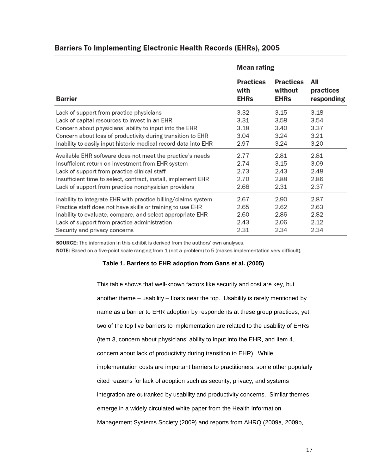# **Barriers To Implementing Electronic Health Records (EHRs), 2005**

|                                                                 | Mean rating      |                  |            |
|-----------------------------------------------------------------|------------------|------------------|------------|
| <b>Barrier</b>                                                  | <b>Practices</b> | <b>Practices</b> | All        |
|                                                                 | with             | without          | practices  |
|                                                                 | <b>EHRs</b>      | <b>EHRs</b>      | responding |
| Lack of support from practice physicians                        | 3.32             | 3.15             | 3.18       |
| Lack of capital resources to invest in an EHR                   | 3.31             | 3.58             | 3.54       |
| Concern about physicians' ability to input into the EHR         | 3.18             | 3.40             | 3.37       |
| Concern about loss of productivity during transition to EHR     | 3.04             | 3.24             | 3.21       |
| Inability to easily input historic medical record data into EHR | 2.97             | 3.24             | 3.20       |
| Available EHR software does not meet the practice's needs       | 2.77             | 2.81             | 2.81       |
| Insufficient return on investment from EHR system               | 2.74             | 3.15             | 3.09       |
| Lack of support from practice clinical staff                    | 2.73             | 2.43             | 2.48       |
| Insufficient time to select, contract, install, implement EHR   | 2.70             | 2.88             | 2.86       |
| Lack of support from practice nonphysician providers            | 2.68             | 2.31             | 2.37       |
| Inability to integrate EHR with practice billing/claims system  | 2.67             | 2.90             | 2.87       |
| Practice staff does not have skills or training to use EHR      | 2.65             | 2.62             | 2.63       |
| Inability to evaluate, compare, and select appropriate EHR      | 2.60             | 2.86             | 2.82       |
| Lack of support from practice administration                    | 2.43             | 2.06             | 2.12       |
| Security and privacy concerns                                   | 2.31             | 2.34             | 2.34       |

SOURCE: The information in this exhibit is derived from the authors' own analyses.

<span id="page-16-0"></span>NOTE: Based on a five-point scale ranging from 1 (not a problem) to 5 (makes implementation very difficult).

#### **Table 1. Barriers to EHR adoption from Gans et al. (2005)**

This table shows that well-known factors like security and cost are key, but another theme – usability – floats near the top. Usability is rarely mentioned by name as a barrier to EHR adoption by respondents at these group practices; yet, two of the top five barriers to implementation are related to the usability of EHRs (item 3, concern about physicians' ability to input into the EHR, and item 4, concern about lack of productivity during transition to EHR). While implementation costs are important barriers to practitioners, some other popularly cited reasons for lack of adoption such as security, privacy, and systems integration are outranked by usability and productivity concerns. Similar themes emerge in a widely circulated white paper from the Health Information Management Systems Society (2009) and reports from AHRQ (2009a, 2009b,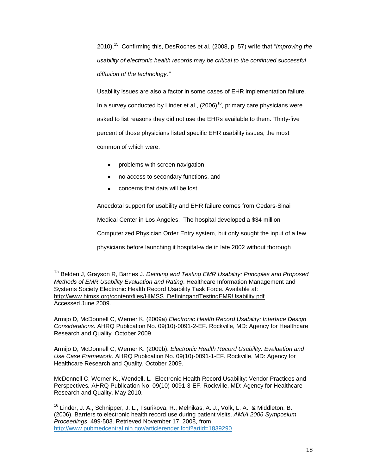2010).<sup>15</sup> Confirming this, DesRoches et al. (2008, p. 57) write that "Improving the *usability of electronic health records may be critical to the continued successful diffusion of the technology."*

Usability issues are also a factor in some cases of EHR implementation failure. In a survey conducted by Linder et al.,  $(2006)^{16}$ , primary care physicians were asked to list reasons they did not use the EHRs available to them. Thirty-five percent of those physicians listed specific EHR usability issues, the most common of which were:

- problems with screen navigation,
- no access to secondary functions, and
- concerns that data will be lost.

l

Anecdotal support for usability and EHR failure comes from Cedars-Sinai Medical Center in Los Angeles. The hospital developed a \$34 million Computerized Physician Order Entry system, but only sought the input of a few physicians before launching it hospital-wide in late 2002 without thorough

Armijo D, McDonnell C, Werner K. (2009a) *Electronic Health Record Usability: Interface Design Considerations.* AHRQ Publication No. 09(10)-0091-2-EF. Rockville, MD: Agency for Healthcare Research and Quality. October 2009.

Armijo D, McDonnell C, Werner K. (2009b). *Electronic Health Record Usability: Evaluation and Use Case Framework.* AHRQ Publication No. 09(10)-0091-1-EF. Rockville, MD: Agency for Healthcare Research and Quality. October 2009.

McDonnell C, Werner K., Wendell, L. Electronic Health Record Usability: Vendor Practices and Perspectives*.* AHRQ Publication No. 09(10)-0091-3-EF. Rockville, MD: Agency for Healthcare Research and Quality. May 2010.

<sup>15</sup> Belden J, Grayson R, Barnes J. *Defining and Testing EMR Usability: Principles and Proposed Methods of EMR Usability Evaluation and Rating*. Healthcare Information Management and Systems Society Electronic Health Record Usability Task Force. Available at: [http://www.himss.org/content/files/HIMSS\\_DefiningandTestingEMRUsability.pdf](http://www.himss.org/content/files/HIMSS_DefiningandTestingEMRUsability.pdfAccessed) Accessed June 2009.

<sup>&</sup>lt;sup>16</sup> Linder, J. A., Schnipper, J. L., Tsurikova, R., Melnikas, A. J., Volk, L. A., & Middleton, B. (2006). Barriers to electronic health record use during patient visits. *AMIA 2006 Symposium Proceedings*, 499-503. Retrieved November 17, 2008, from <http://www.pubmedcentral.nih.gov/articlerender.fcgi?artid=1839290>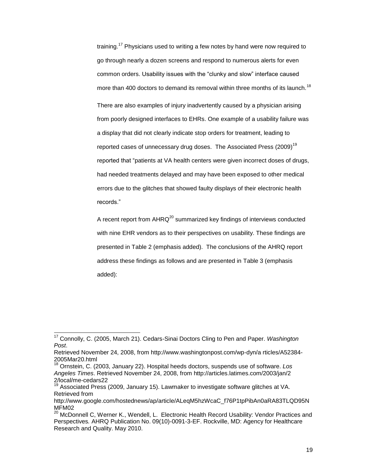training.<sup>17</sup> Physicians used to writing a few notes by hand were now required to go through nearly a dozen screens and respond to numerous alerts for even common orders. Usability issues with the "clunky and slow" interface caused more than 400 doctors to demand its removal within three months of its launch.<sup>18</sup>

There are also examples of injury inadvertently caused by a physician arising from poorly designed interfaces to EHRs. One example of a usability failure was a display that did not clearly indicate stop orders for treatment, leading to reported cases of unnecessary drug doses. The Associated Press (2009) $^{19}$ reported that "patients at VA health centers were given incorrect doses of drugs, had needed treatments delayed and may have been exposed to other medical errors due to the glitches that showed faulty displays of their electronic health records."

A recent report from  $AHRQ^{20}$  summarized key findings of interviews conducted with nine EHR vendors as to their perspectives on usability. These findings are presented in [Table 2](#page-19-0) (emphasis added). The conclusions of the AHRQ report address these findings as follows and are presented in [Table 3](#page-20-1) (emphasis added):

l

<sup>17</sup> Connolly, C. (2005, March 21). Cedars-Sinai Doctors Cling to Pen and Paper. *Washington Post*.

Retrieved November 24, 2008, from http://www.washingtonpost.com/wp-dyn/a rticles/A52384- 2005Mar20.html

<sup>18</sup> Ornstein, C. (2003, January 22). Hospital heeds doctors, suspends use of software. *Los Angeles Times*. Retrieved November 24, 2008, from http://articles.latimes.com/2003/jan/2 2/local/me-cedars22

Associated Press (2009, January 15). Lawmaker to investigate software glitches at VA. Retrieved from

http://www.google.com/hostednews/ap/article/ALeqM5hzWcaC\_f76P1tpPibAn0aRA83TLQD95N MFM02

<sup>&</sup>lt;sup>20</sup> McDonnell C, Werner K., Wendell, L. Electronic Health Record Usability: Vendor Practices and Perspectives*.* AHRQ Publication No. 09(10)-0091-3-EF. Rockville, MD: Agency for Healthcare Research and Quality. May 2010.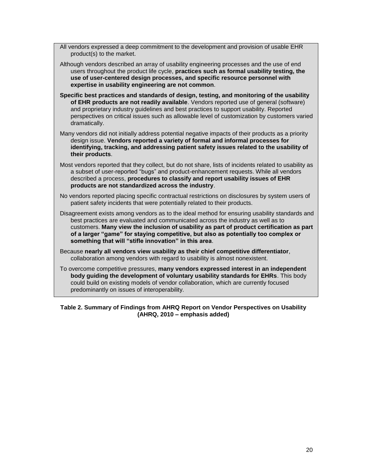All vendors expressed a deep commitment to the development and provision of usable EHR product(s) to the market.

- Although vendors described an array of usability engineering processes and the use of end users throughout the product life cycle, **practices such as formal usability testing, the use of user-centered design processes, and specific resource personnel with expertise in usability engineering are not common**.
- **Specific best practices and standards of design, testing, and monitoring of the usability of EHR products are not readily available**. Vendors reported use of general (software) and proprietary industry guidelines and best practices to support usability. Reported perspectives on critical issues such as allowable level of customization by customers varied dramatically.
- Many vendors did not initially address potential negative impacts of their products as a priority design issue. **Vendors reported a variety of formal and informal processes for identifying, tracking, and addressing patient safety issues related to the usability of their products**.
- Most vendors reported that they collect, but do not share, lists of incidents related to usability as a subset of user-reported "bugs" and product-enhancement requests. While all vendors described a process, **procedures to classify and report usability issues of EHR products are not standardized across the industry**.
- No vendors reported placing specific contractual restrictions on disclosures by system users of patient safety incidents that were potentially related to their products.
- Disagreement exists among vendors as to the ideal method for ensuring usability standards and best practices are evaluated and communicated across the industry as well as to customers. **Many view the inclusion of usability as part of product certification as part of a larger "game" for staying competitive, but also as potentially too complex or something that will "stifle innovation" in this area**.
- Because **nearly all vendors view usability as their chief competitive differentiator**, collaboration among vendors with regard to usability is almost nonexistent.
- To overcome competitive pressures, **many vendors expressed interest in an independent body guiding the development of voluntary usability standards for EHRs**. This body could build on existing models of vendor collaboration, which are currently focused predominantly on issues of interoperability.

### <span id="page-19-0"></span>**Table 2. Summary of Findings from AHRQ Report on Vendor Perspectives on Usability (AHRQ, 2010 – emphasis added)**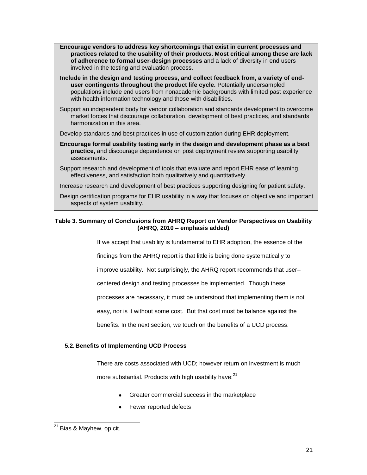**Encourage vendors to address key shortcomings that exist in current processes and practices related to the usability of their products. Most critical among these are lack of adherence to formal user-design processes** and a lack of diversity in end users involved in the testing and evaluation process.

**Include in the design and testing process, and collect feedback from, a variety of enduser contingents throughout the product life cycle.** Potentially undersampled populations include end users from nonacademic backgrounds with limited past experience with health information technology and those with disabilities.

Support an independent body for vendor collaboration and standards development to overcome market forces that discourage collaboration, development of best practices, and standards harmonization in this area.

Develop standards and best practices in use of customization during EHR deployment.

**Encourage formal usability testing early in the design and development phase as a best practice,** and discourage dependence on post deployment review supporting usability assessments.

Support research and development of tools that evaluate and report EHR ease of learning, effectiveness, and satisfaction both qualitatively and quantitatively.

Increase research and development of best practices supporting designing for patient safety.

Design certification programs for EHR usability in a way that focuses on objective and important aspects of system usability.

# <span id="page-20-1"></span>**Table 3. Summary of Conclusions from AHRQ Report on Vendor Perspectives on Usability (AHRQ, 2010 – emphasis added)**

If we accept that usability is fundamental to EHR adoption, the essence of the

findings from the AHRQ report is that little is being done systematically to

improve usability. Not surprisingly, the AHRQ report recommends that user–

centered design and testing processes be implemented. Though these

processes are necessary, it must be understood that implementing them is not

easy, nor is it without some cost. But that cost must be balance against the

benefits. In the next section, we touch on the benefits of a UCD process.

# <span id="page-20-0"></span>**5.2. Benefits of Implementing UCD Process**

There are costs associated with UCD; however return on investment is much

more substantial. Products with high usability have:<sup>21</sup>

- Greater commercial success in the marketplace
- Fewer reported defects

l <sup>21</sup> Bias & Mayhew, op cit.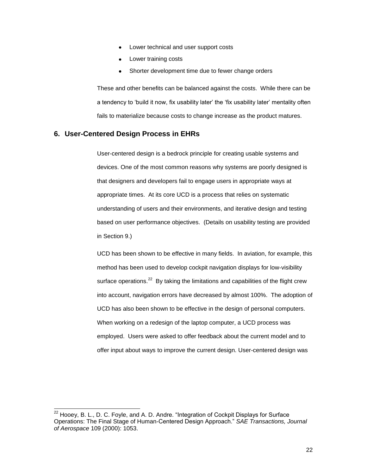- Lower technical and user support costs
- Lower training costs
- Shorter development time due to fewer change orders

These and other benefits can be balanced against the costs. While there can be a tendency to 'build it now, fix usability later' the 'fix usability later' mentality often fails to materialize because costs to change increase as the product matures.

# <span id="page-21-0"></span>**6. User-Centered Design Process in EHRs**

l

User-centered design is a bedrock principle for creating usable systems and devices. One of the most common reasons why systems are poorly designed is that designers and developers fail to engage users in appropriate ways at appropriate times. At its core UCD is a process that relies on systematic understanding of users and their environments, and iterative design and testing based on user performance objectives. (Details on usability testing are provided in Section 9.)

UCD has been shown to be effective in many fields. In aviation, for example, this method has been used to develop cockpit navigation displays for low-visibility surface operations.<sup>22</sup> By taking the limitations and capabilities of the flight crew into account, navigation errors have decreased by almost 100%. The adoption of UCD has also been shown to be effective in the design of personal computers. When working on a redesign of the laptop computer, a UCD process was employed. Users were asked to offer feedback about the current model and to offer input about ways to improve the current design. User-centered design was

 $^{22}$  Hooey, B. L., D. C. Foyle, and A. D. Andre. "Integration of Cockpit Displays for Surface Operations: The Final Stage of Human-Centered Design Approach.‖ *SAE Transactions, Journal of Aerospace* 109 (2000): 1053.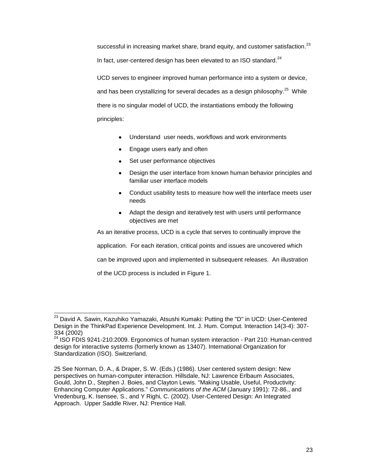successful in increasing market share, brand equity, and customer satisfaction.<sup>23</sup> In fact, user-centered design has been elevated to an ISO standard. $^{24}$ 

UCD serves to engineer improved human performance into a system or device, and has been crystallizing for several decades as a design philosophy. $^{25}$  While there is no singular model of UCD, the instantiations embody the following principles:

- Understand user needs, workflows and work environments  $\bullet$
- Engage users early and often  $\bullet$
- Set user performance objectives
- Design the user interface from known human behavior principles and familiar user interface models
- Conduct usability tests to measure how well the interface meets user needs
- Adapt the design and iteratively test with users until performance objectives are met

As an iterative process, UCD is a cycle that serves to continually improve the

application. For each iteration, critical points and issues are uncovered which

can be improved upon and implemented in subsequent releases. An illustration

of the UCD process is included in [Figure 1.](#page-23-1)

l

<sup>&</sup>lt;sup>23</sup> David A. Sawin, [Kazuhiko Yamazaki,](http://www.informatik.uni-trier.de/~ley/db/indices/a-tree/y/Yamazaki:Kazuhiko.html) [Atsushi Kumaki:](http://www.informatik.uni-trier.de/~ley/db/indices/a-tree/k/Kumaki:Atsushi.html) Putting the "D" in UCD: User-Centered Design in the ThinkPad Experience Development. [Int. J. Hum. Comput. Interaction 14\(](http://www.informatik.uni-trier.de/~ley/db/journals/ijhci/ijhci14.html#SawinYK02)3-4): 307- 334 (2002)

 $24$  ISO FDIS 9241-210:2009. Ergonomics of human system interaction - Part 210: Human-centred design for interactive systems (formerly known as 13407). International Organization for Standardization (ISO). Switzerland.

<sup>25</sup> See Norman, D. A., & Draper, S. W. (Eds.) (1986). User centered system design: New perspectives on human-computer interaction. Hillsdale, NJ: Lawrence Erlbaum Associates, Gould, John D., Stephen J. Boies, and Clayton Lewis. "Making Usable, Useful, Productivity: Enhancing Computer Applications." *Communications of the ACM* (January 1991): 72-86., and Vredenburg, K. Isensee, S., and Y Righi, C. (2002). User-Centered Design: An Integrated Approach. Upper Saddle River, NJ: Prentice Hall.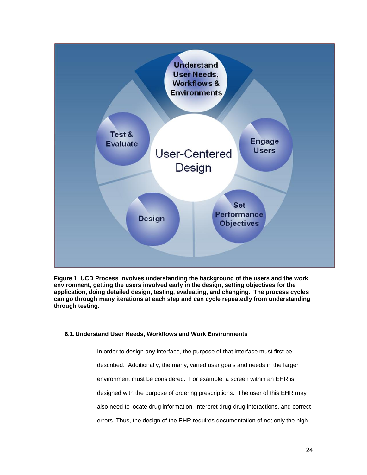

<span id="page-23-1"></span>**Figure 1. UCD Process involves understanding the background of the users and the work environment, getting the users involved early in the design, setting objectives for the application, doing detailed design, testing, evaluating, and changing. The process cycles can go through many iterations at each step and can cycle repeatedly from understanding through testing.**

#### <span id="page-23-0"></span>**6.1. Understand User Needs, Workflows and Work Environments**

In order to design any interface, the purpose of that interface must first be described. Additionally, the many, varied user goals and needs in the larger environment must be considered. For example, a screen within an EHR is designed with the purpose of ordering prescriptions. The user of this EHR may also need to locate drug information, interpret drug-drug interactions, and correct errors. Thus, the design of the EHR requires documentation of not only the high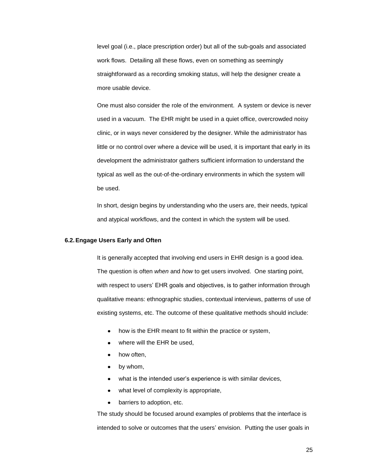level goal (i.e., place prescription order) but all of the sub-goals and associated work flows. Detailing all these flows, even on something as seemingly straightforward as a recording smoking status, will help the designer create a more usable device.

One must also consider the role of the environment. A system or device is never used in a vacuum. The EHR might be used in a quiet office, overcrowded noisy clinic, or in ways never considered by the designer. While the administrator has little or no control over where a device will be used, it is important that early in its development the administrator gathers sufficient information to understand the typical as well as the out-of-the-ordinary environments in which the system will be used.

In short, design begins by understanding who the users are, their needs, typical and atypical workflows, and the context in which the system will be used.

#### <span id="page-24-0"></span>**6.2.Engage Users Early and Often**

It is generally accepted that involving end users in EHR design is a good idea. The question is often *when* and *how* to get users involved. One starting point, with respect to users' EHR goals and objectives, is to gather information through qualitative means: ethnographic studies, contextual interviews, patterns of use of existing systems, etc. The outcome of these qualitative methods should include:

- how is the EHR meant to fit within the practice or system,
- where will the EHR be used,
- how often,
- by whom,  $\bullet$
- what is the intended user's experience is with similar devices,
- what level of complexity is appropriate,
- barriers to adoption, etc.  $\bullet$

The study should be focused around examples of problems that the interface is intended to solve or outcomes that the users' envision. Putting the user goals in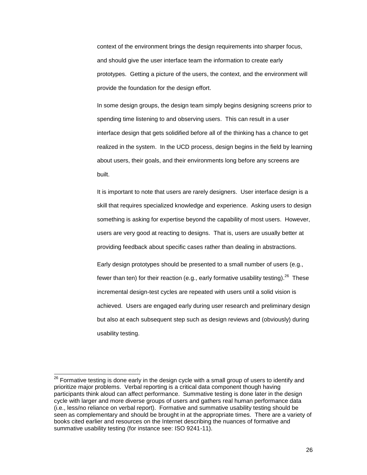context of the environment brings the design requirements into sharper focus, and should give the user interface team the information to create early prototypes. Getting a picture of the users, the context, and the environment will provide the foundation for the design effort.

In some design groups, the design team simply begins designing screens prior to spending time listening to and observing users. This can result in a user interface design that gets solidified before all of the thinking has a chance to get realized in the system. In the UCD process, design begins in the field by learning about users, their goals, and their environments long before any screens are built.

It is important to note that users are rarely designers. User interface design is a skill that requires specialized knowledge and experience. Asking users to design something is asking for expertise beyond the capability of most users. However, users are very good at reacting to designs. That is, users are usually better at providing feedback about specific cases rather than dealing in abstractions.

Early design prototypes should be presented to a small number of users (e.g., fewer than ten) for their reaction (e.g., early formative usability testing).<sup>26</sup> These incremental design-test cycles are repeated with users until a solid vision is achieved. Users are engaged early during user research and preliminary design but also at each subsequent step such as design reviews and (obviously) during usability testing.

 $\overline{a}$ 

 $^{26}$  Formative testing is done early in the design cycle with a small group of users to identify and prioritize major problems. Verbal reporting is a critical data component though having participants think aloud can affect performance. Summative testing is done later in the design cycle with larger and more diverse groups of users and gathers real human performance data (i.e., less/no reliance on verbal report). Formative and summative usability testing should be seen as complementary and should be brought in at the appropriate times. There are a variety of books cited earlier and resources on the Internet describing the nuances of formative and summative usability testing (for instance see: ISO 9241-11).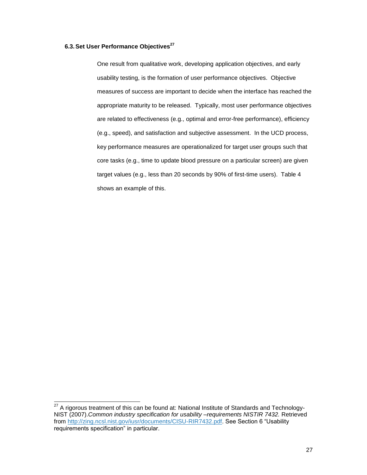# <span id="page-26-0"></span>**6.3.Set User Performance Objectives<sup>27</sup>**

One result from qualitative work, developing application objectives, and early usability testing, is the formation of user performance objectives. Objective measures of success are important to decide when the interface has reached the appropriate maturity to be released. Typically, most user performance objectives are related to effectiveness (e.g., optimal and error-free performance), efficiency (e.g., speed), and satisfaction and subjective assessment. In the UCD process, key performance measures are operationalized for target user groups such that core tasks (e.g., time to update blood pressure on a particular screen) are given target values (e.g., less than 20 seconds by 90% of first-time users). [Table 4](#page-27-0) shows an example of this.

l

 $^{27}$  A rigorous treatment of this can be found at: National Institute of Standards and Technology-NIST (2007).*Common industry specification for usability –requirements NISTIR 7432.* Retrieved from [http://zing.ncsl.nist.gov/iusr/documents/CISU-RIR7432.pdf.](http://zing.ncsl.nist.gov/iusr/documents/CISU-RIR7432.pdf) See Section 6 "Usability requirements specification" in particular.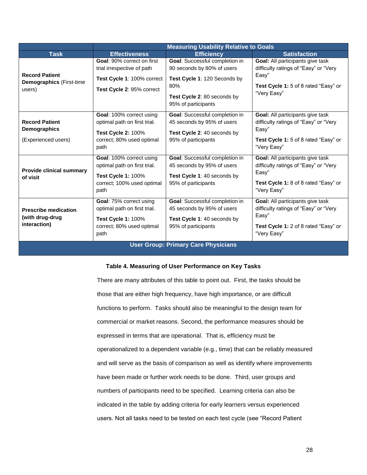|                                                                     |                                                                                                                             | <b>Measuring Usability Relative to Goals</b>                                                                                                              |                                                                                                                                                  |
|---------------------------------------------------------------------|-----------------------------------------------------------------------------------------------------------------------------|-----------------------------------------------------------------------------------------------------------------------------------------------------------|--------------------------------------------------------------------------------------------------------------------------------------------------|
| <b>Task</b>                                                         | <b>Effectiveness</b>                                                                                                        | <b>Efficiency</b>                                                                                                                                         | <b>Satisfaction</b>                                                                                                                              |
| <b>Record Patient</b><br><b>Demographics</b> (First-time<br>users)  | <b>Goal: 90% correct on first</b><br>trial irrespective of path<br>Test Cycle 1: 100% correct<br>Test Cycle 2: 95% correct  | Goal: Successful completion in<br>90 seconds by 80% of users<br>Test Cycle 1: 120 Seconds by<br>80%<br>Test Cycle 2: 80 seconds by<br>95% of participants | Goal: All participants give task<br>difficulty ratings of "Easy" or "Very<br>Easy"<br><b>Test Cycle 1:</b> 5 of 8 rated "Easy" or<br>"Very Easy" |
| <b>Record Patient</b><br><b>Demographics</b><br>(Experienced users) | Goal: 100% correct using<br>optimal path on first trial.<br><b>Test Cycle 2: 100%</b><br>correct; 80% used optimal<br>path  | Goal: Successful completion in<br>45 seconds by 95% of users<br>Test Cycle 2: 40 seconds by<br>95% of participants                                        | Goal: All participants give task<br>difficulty ratings of "Easy" or "Very<br>Easy"<br>Test Cycle 1: 5 of 8 rated "Easy" or<br>"Very Easy"        |
| <b>Provide clinical summary</b><br>of visit                         | Goal: 100% correct using<br>optimal path on first trial.<br><b>Test Cycle 1: 100%</b><br>correct; 100% used optimal<br>path | Goal: Successful completion in<br>45 seconds by 95% of users<br>Test Cycle 1: 40 seconds by<br>95% of participants                                        | Goal: All participants give task<br>difficulty ratings of "Easy" or "Very<br>Easy"<br>Test Cycle 1: 8 of 8 rated "Easy" or<br>"Very Easy"        |
| <b>Prescribe medication</b><br>(with drug-drug<br>interaction)      | Goal: 75% correct using<br>optimal path on first trial.<br><b>Test Cycle 1: 100%</b><br>correct; 80% used optimal<br>path   | Goal: Successful completion in<br>45 seconds by 95% of users<br>Test Cycle 1: 40 seconds by<br>95% of participants                                        | Goal: All participants give task<br>difficulty ratings of "Easy" or "Very<br>Easy"<br>Test Cycle 1: 2 of 8 rated "Easy" or<br>"Very Easy"        |
| <b>User Group: Primary Care Physicians</b>                          |                                                                                                                             |                                                                                                                                                           |                                                                                                                                                  |

#### **Table 4. Measuring of User Performance on Key Tasks**

<span id="page-27-0"></span>There are many attributes of this table to point out. First, the tasks should be those that are either high frequency, have high importance, or are difficult functions to perform. Tasks should also be meaningful to the design team for commercial or market reasons. Second, the performance measures should be expressed in terms that are operational. That is, efficiency must be operationalized to a dependent variable (e.g., time) that can be reliably measured and will serve as the basis of comparison as well as identify where improvements have been made or further work needs to be done. Third, user groups and numbers of participants need to be specified. Learning criteria can also be indicated in the table by adding criteria for early learners versus experienced users. Not all tasks need to be tested on each test cycle (see "Record Patient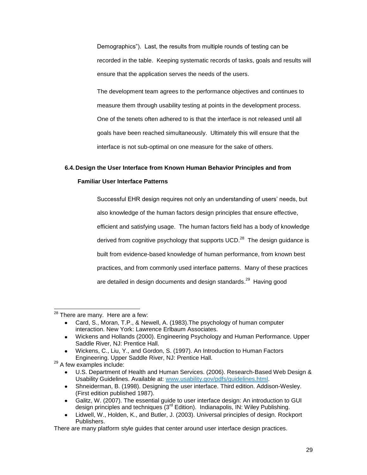Demographics"). Last, the results from multiple rounds of testing can be recorded in the table. Keeping systematic records of tasks, goals and results will ensure that the application serves the needs of the users.

The development team agrees to the performance objectives and continues to measure them through usability testing at points in the development process. One of the tenets often adhered to is that the interface is not released until all goals have been reached simultaneously. Ultimately this will ensure that the interface is not sub-optimal on one measure for the sake of others.

# <span id="page-28-0"></span>**6.4. Design the User Interface from Known Human Behavior Principles and from**

# **Familiar User Interface Patterns**

Successful EHR design requires not only an understanding of users' needs, but also knowledge of the human factors design principles that ensure effective, efficient and satisfying usage. The human factors field has a body of knowledge derived from cognitive psychology that supports UCD. $^{28}$  The design guidance is built from evidence-based knowledge of human performance, from known best practices, and from commonly used interface patterns. Many of these practices are detailed in design documents and design standards.<sup>29</sup> Having good

<sup>29</sup> A few examples include:

 $\overline{a}$ 

- U.S. Department of Health and Human Services. (2006). Research‐Based Web Design & Usability Guidelines. Available at: [www.usability.gov/pdfs/guidelines.html.](http://www.usability.gov/pdfs/guidelines.html)
- Shneiderman, B. (1998). Designing the user interface. Third edition. Addison-Wesley. (First edition published 1987).
- Galitz, W. (2007). The essential guide to user interface design: An introduction to GUI design principles and techniques  $(3<sup>rd</sup> Edition)$ . Indianapolis, IN: Wiley Publishing.
- Lidwell, W., Holden, K., and Butler, J. (2003). Universal principles of design. Rockport Publishers.

 $^{28}$  There are many. Here are a few:

Card, S., Moran, T.P., & Newell, A. (1983).The psychology of human computer interaction. New York: Lawrence Erlbaum Associates.

Wickens and Hollands (2000). Engineering Psychology and Human Performance. Upper Saddle River, NJ: Prentice Hall.

Wickens, C., Liu, Y., and Gordon, S. (1997). An Introduction to Human Factors Engineering. Upper Saddle River, NJ: Prentice Hall.

There are many platform style guides that center around user interface design practices.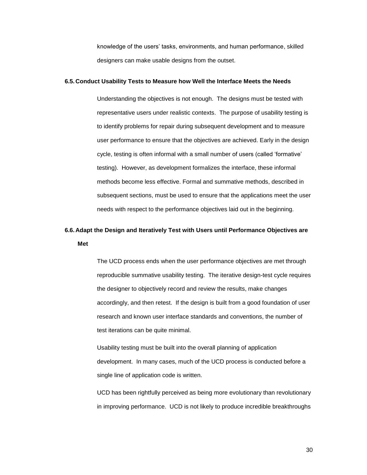knowledge of the users' tasks, environments, and human performance, skilled designers can make usable designs from the outset.

#### <span id="page-29-0"></span>**6.5. Conduct Usability Tests to Measure how Well the Interface Meets the Needs**

Understanding the objectives is not enough. The designs must be tested with representative users under realistic contexts. The purpose of usability testing is to identify problems for repair during subsequent development and to measure user performance to ensure that the objectives are achieved. Early in the design cycle, testing is often informal with a small number of users (called 'formative' testing). However, as development formalizes the interface, these informal methods become less effective. Formal and summative methods, described in subsequent sections, must be used to ensure that the applications meet the user needs with respect to the performance objectives laid out in the beginning.

# <span id="page-29-1"></span>**6.6. Adapt the Design and Iteratively Test with Users until Performance Objectives are Met**

The UCD process ends when the user performance objectives are met through reproducible summative usability testing. The iterative design-test cycle requires the designer to objectively record and review the results, make changes accordingly, and then retest. If the design is built from a good foundation of user research and known user interface standards and conventions, the number of test iterations can be quite minimal.

Usability testing must be built into the overall planning of application development. In many cases, much of the UCD process is conducted before a single line of application code is written.

UCD has been rightfully perceived as being more evolutionary than revolutionary in improving performance. UCD is not likely to produce incredible breakthroughs

30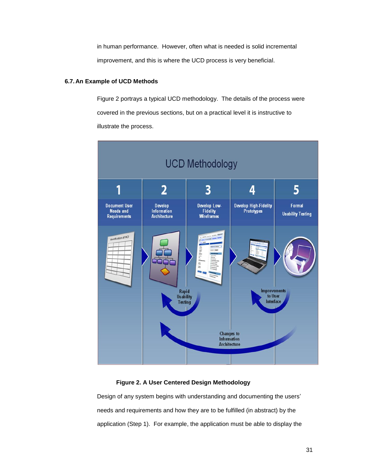in human performance. However, often what is needed is solid incremental improvement, and this is where the UCD process is very beneficial.

# <span id="page-30-0"></span>**6.7. An Example of UCD Methods**

[Figure 2](#page-30-1) portrays a typical UCD methodology. The details of the process were covered in the previous sections, but on a practical level it is instructive to illustrate the process.



# **Figure 2. A User Centered Design Methodology**

<span id="page-30-1"></span>Design of any system begins with understanding and documenting the users' needs and requirements and how they are to be fulfilled (in abstract) by the application (Step 1). For example, the application must be able to display the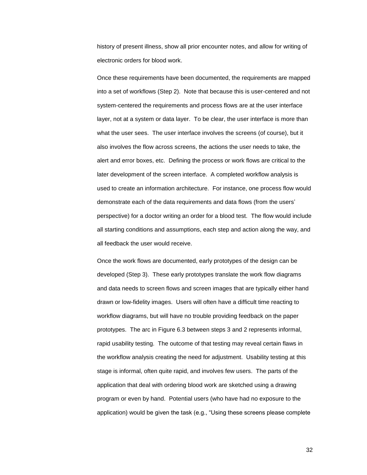history of present illness, show all prior encounter notes, and allow for writing of electronic orders for blood work.

Once these requirements have been documented, the requirements are mapped into a set of workflows (Step 2). Note that because this is user-centered and not system-centered the requirements and process flows are at the user interface layer, not at a system or data layer. To be clear, the user interface is more than what the user sees. The user interface involves the screens (of course), but it also involves the flow across screens, the actions the user needs to take, the alert and error boxes, etc. Defining the process or work flows are critical to the later development of the screen interface. A completed workflow analysis is used to create an information architecture. For instance, one process flow would demonstrate each of the data requirements and data flows (from the users' perspective) for a doctor writing an order for a blood test. The flow would include all starting conditions and assumptions, each step and action along the way, and all feedback the user would receive.

Once the work flows are documented, early prototypes of the design can be developed (Step 3). These early prototypes translate the work flow diagrams and data needs to screen flows and screen images that are typically either hand drawn or low-fidelity images. Users will often have a difficult time reacting to workflow diagrams, but will have no trouble providing feedback on the paper prototypes. The arc in Figure 6.3 between steps 3 and 2 represents informal, rapid usability testing. The outcome of that testing may reveal certain flaws in the workflow analysis creating the need for adjustment. Usability testing at this stage is informal, often quite rapid, and involves few users. The parts of the application that deal with ordering blood work are sketched using a drawing program or even by hand. Potential users (who have had no exposure to the application) would be given the task (e.g., "Using these screens please complete

32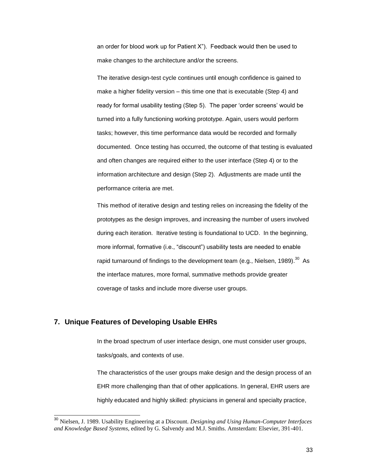an order for blood work up for Patient  $X$ "). Feedback would then be used to make changes to the architecture and/or the screens.

The iterative design-test cycle continues until enough confidence is gained to make a higher fidelity version – this time one that is executable (Step 4) and ready for formal usability testing (Step 5). The paper 'order screens' would be turned into a fully functioning working prototype. Again, users would perform tasks; however, this time performance data would be recorded and formally documented. Once testing has occurred, the outcome of that testing is evaluated and often changes are required either to the user interface (Step 4) or to the information architecture and design (Step 2). Adjustments are made until the performance criteria are met.

This method of iterative design and testing relies on increasing the fidelity of the prototypes as the design improves, and increasing the number of users involved during each iteration. Iterative testing is foundational to UCD. In the beginning, more informal, formative (i.e., "discount") usability tests are needed to enable rapid turnaround of findings to the development team (e.g., Nielsen, 1989).<sup>30</sup> As the interface matures, more formal, summative methods provide greater coverage of tasks and include more diverse user groups.

# <span id="page-32-0"></span>**7. Unique Features of Developing Usable EHRs**

l

In the broad spectrum of user interface design, one must consider user groups, tasks/goals, and contexts of use.

The characteristics of the user groups make design and the design process of an EHR more challenging than that of other applications. In general, EHR users are highly educated and highly skilled: physicians in general and specialty practice,

<sup>30</sup> Nielsen, J. 1989. Usability Engineering at a Discount. *Designing and Using Human-Computer Interfaces and Knowledge Based Systems*, edited by G. Salvendy and M.J. Smiths. Amsterdam: Elsevier, 391-401.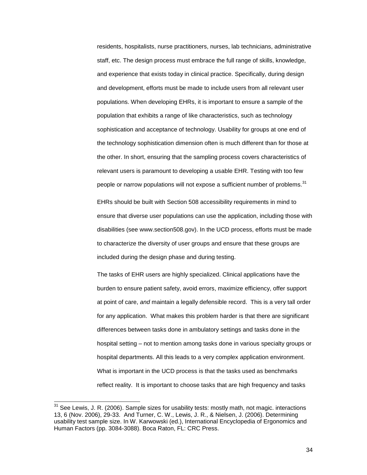residents, hospitalists, nurse practitioners, nurses, lab technicians, administrative staff, etc. The design process must embrace the full range of skills, knowledge, and experience that exists today in clinical practice. Specifically, during design and development, efforts must be made to include users from all relevant user populations. When developing EHRs, it is important to ensure a sample of the population that exhibits a range of like characteristics, such as technology sophistication and acceptance of technology. Usability for groups at one end of the technology sophistication dimension often is much different than for those at the other. In short, ensuring that the sampling process covers characteristics of relevant users is paramount to developing a usable EHR. Testing with too few people or narrow populations will not expose a sufficient number of problems.<sup>31</sup>

EHRs should be built with Section 508 accessibility requirements in mind to ensure that diverse user populations can use the application, including those with disabilities (see www.section508.gov). In the UCD process, efforts must be made to characterize the diversity of user groups and ensure that these groups are included during the design phase and during testing.

The tasks of EHR users are highly specialized. Clinical applications have the burden to ensure patient safety, avoid errors, maximize efficiency, offer support at point of care, *and* maintain a legally defensible record. This is a very tall order for any application. What makes this problem harder is that there are significant differences between tasks done in ambulatory settings and tasks done in the hospital setting – not to mention among tasks done in various specialty groups or hospital departments. All this leads to a very complex application environment. What is important in the UCD process is that the tasks used as benchmarks reflect reality. It is important to choose tasks that are high frequency and tasks

l

 $31$  See Lewis, J. R. (2006). Sample sizes for usability tests: mostly math, not magic. interactions 13, 6 (Nov. 2006), 29-33. And Turner, C. W., Lewis, J. R., & Nielsen, J. (2006). Determining usability test sample size. In W. Karwowski (ed.), International Encyclopedia of Ergonomics and Human Factors (pp. 3084-3088). Boca Raton, FL: CRC Press.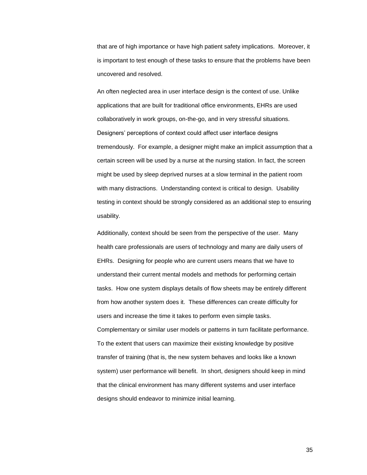that are of high importance or have high patient safety implications. Moreover, it is important to test enough of these tasks to ensure that the problems have been uncovered and resolved.

An often neglected area in user interface design is the context of use. Unlike applications that are built for traditional office environments, EHRs are used collaboratively in work groups, on-the-go, and in very stressful situations. Designers' perceptions of context could affect user interface designs tremendously. For example, a designer might make an implicit assumption that a certain screen will be used by a nurse at the nursing station. In fact, the screen might be used by sleep deprived nurses at a slow terminal in the patient room with many distractions. Understanding context is critical to design. Usability testing in context should be strongly considered as an additional step to ensuring usability.

Additionally, context should be seen from the perspective of the user. Many health care professionals are users of technology and many are daily users of EHRs. Designing for people who are current users means that we have to understand their current mental models and methods for performing certain tasks. How one system displays details of flow sheets may be entirely different from how another system does it. These differences can create difficulty for users and increase the time it takes to perform even simple tasks. Complementary or similar user models or patterns in turn facilitate performance. To the extent that users can maximize their existing knowledge by positive transfer of training (that is, the new system behaves and looks like a known system) user performance will benefit. In short, designers should keep in mind that the clinical environment has many different systems and user interface designs should endeavor to minimize initial learning.

35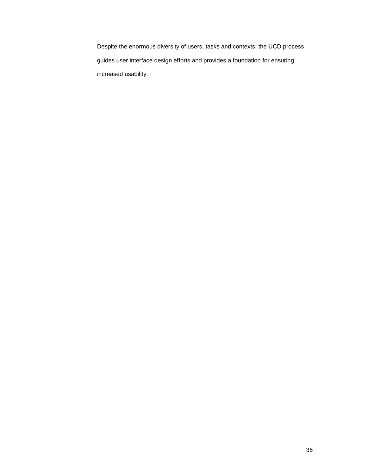Despite the enormous diversity of users, tasks and contexts, the UCD process guides user interface design efforts and provides a foundation for ensuring increased usability.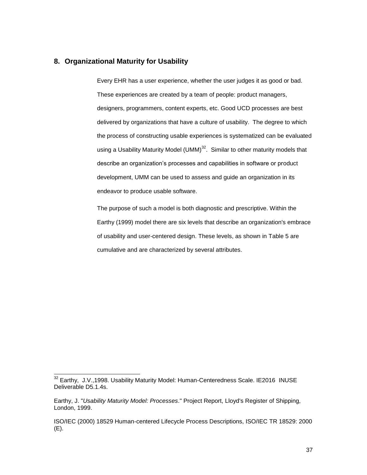# <span id="page-36-0"></span>**8. Organizational Maturity for Usability**

Every EHR has a user experience, whether the user judges it as good or bad. These experiences are created by a team of people: product managers, designers, programmers, content experts, etc. Good UCD processes are best delivered by organizations that have a culture of usability. The degree to which the process of constructing usable experiences is systematized can be evaluated using a Usability Maturity Model (UMM) $32$ . Similar to other maturity models that describe an organization's processes and capabilities in software or product development, UMM can be used to assess and guide an organization in its endeavor to produce usable software.

The purpose of such a model is both diagnostic and prescriptive. Within the Earthy (1999) model there are six levels that describe an organization's embrace of usability and user-centered design. These levels, as shown in [Table 5](#page-37-2) are cumulative and are characterized by several attributes.

 $\overline{\phantom{a}}$ 

 $32$  Earthy, J.V.,1998. Usability Maturity Model: Human-Centeredness Scale. IE2016 INUSE Deliverable D5.1.4s.

Earthy, J. "*Usability Maturity Model: Processes*." Project Report, Lloyd's Register of Shipping, London, 1999.

ISO/IEC (2000) 18529 Human-centered Lifecycle Process Descriptions, ISO/IEC TR 18529: 2000 (E).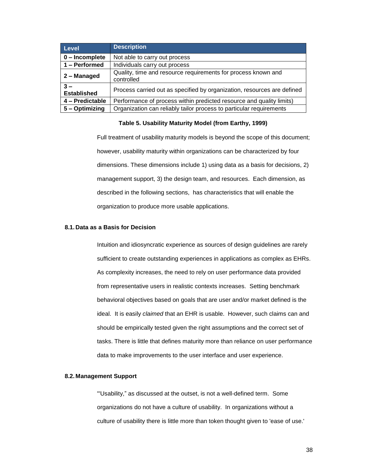| Level                       | <b>Description</b>                                                          |
|-----------------------------|-----------------------------------------------------------------------------|
| $0$ – Incomplete            | Not able to carry out process                                               |
| 1 - Performed               | Individuals carry out process                                               |
| 2 - Managed                 | Quality, time and resource requirements for process known and<br>controlled |
| $3 -$<br><b>Established</b> | Process carried out as specified by organization, resources are defined     |
| 4 - Predictable             | Performance of process within predicted resource and quality limits)        |
| 5 – Optimizing              | Organization can reliably tailor process to particular requirements         |

#### **Table 5. Usability Maturity Model (from Earthy, 1999)**

<span id="page-37-2"></span>Full treatment of usability maturity models is beyond the scope of this document; however, usability maturity within organizations can be characterized by four dimensions. These dimensions include 1) using data as a basis for decisions, 2) management support, 3) the design team, and resources. Each dimension, as described in the following sections, has characteristics that will enable the organization to produce more usable applications.

#### <span id="page-37-0"></span>**8.1. Data as a Basis for Decision**

Intuition and idiosyncratic experience as sources of design guidelines are rarely sufficient to create outstanding experiences in applications as complex as EHRs. As complexity increases, the need to rely on user performance data provided from representative users in realistic contexts increases. Setting benchmark behavioral objectives based on goals that are user and/or market defined is the ideal. It is easily *claimed* that an EHR is usable. However, such claims can and should be empirically tested given the right assumptions and the correct set of tasks. There is little that defines maturity more than reliance on user performance data to make improvements to the user interface and user experience.

#### <span id="page-37-1"></span>**8.2. Management Support**

―'Usability,‖ as discussed at the outset, is not a well-defined term. Some organizations do not have a culture of usability. In organizations without a culture of usability there is little more than token thought given to 'ease of use.'

38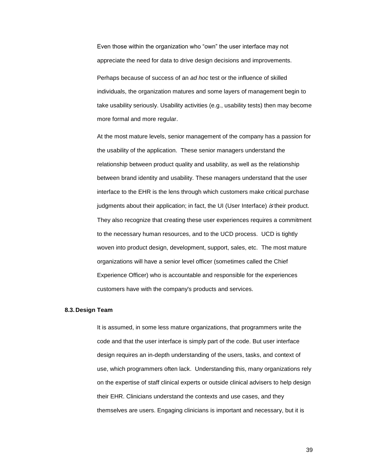Even those within the organization who "own" the user interface may not appreciate the need for data to drive design decisions and improvements.

Perhaps because of success of an *ad hoc* test or the influence of skilled individuals, the organization matures and some layers of management begin to take usability seriously. Usability activities (e.g., usability tests) then may become more formal and more regular.

At the most mature levels, senior management of the company has a passion for the usability of the application. These senior managers understand the relationship between product quality and usability, as well as the relationship between brand identity and usability. These managers understand that the user interface to the EHR is the lens through which customers make critical purchase judgments about their application; in fact, the UI (User Interface) is their product. They also recognize that creating these user experiences requires a commitment to the necessary human resources, and to the UCD process. UCD is tightly woven into product design, development, support, sales, etc. The most mature organizations will have a senior level officer (sometimes called the Chief Experience Officer) who is accountable and responsible for the experiences customers have with the company's products and services.

#### <span id="page-38-0"></span>**8.3. Design Team**

It is assumed, in some less mature organizations, that programmers write the code and that the user interface is simply part of the code. But user interface design requires an in-depth understanding of the users, tasks, and context of use, which programmers often lack. Understanding this, many organizations rely on the expertise of staff clinical experts or outside clinical advisers to help design their EHR. Clinicians understand the contexts and use cases, and they themselves are users. Engaging clinicians is important and necessary, but it is

39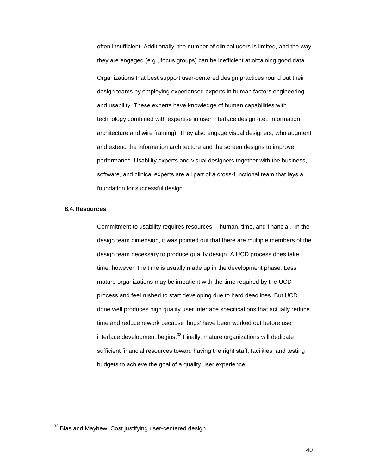often insufficient. Additionally, the number of clinical users is limited, and the way they are engaged (e.g., focus groups) can be inefficient at obtaining good data. Organizations that best support user-centered design practices round out their design teams by employing experienced experts in human factors engineering and usability. These experts have knowledge of human capabilities with technology combined with expertise in user interface design (i.e., information architecture and wire framing). They also engage visual designers, who augment and extend the information architecture and the screen designs to improve performance. Usability experts and visual designers together with the business, software, and clinical experts are all part of a cross-functional team that lays a foundation for successful design.

#### <span id="page-39-0"></span>**8.4. Resources**

l

Commitment to usability requires resources -- human, time, and financial. In the design team dimension, it was pointed out that there are multiple members of the design team necessary to produce quality design. A UCD process does take time; however, the time is usually made up in the development phase. Less mature organizations may be impatient with the time required by the UCD process and feel rushed to start developing due to hard deadlines. But UCD done well produces high quality user interface specifications that actually reduce time and reduce rework because 'bugs' have been worked out before user interface development begins.<sup>33</sup> Finally, mature organizations will dedicate sufficient financial resources toward having the right staff, facilities, and testing budgets to achieve the goal of a quality user experience.

 $^{33}$  Bias and Mayhew. Cost justifying user-centered design.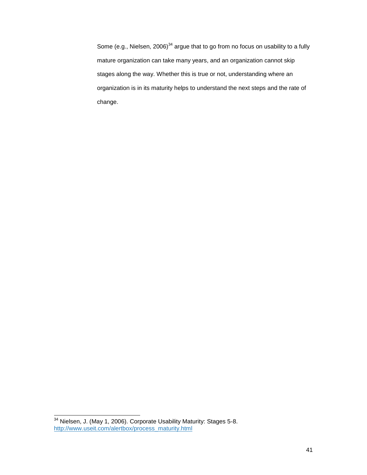Some (e.g., Nielsen, 2006)<sup>34</sup> argue that to go from no focus on usability to a fully mature organization can take many years, and an organization cannot skip stages along the way. Whether this is true or not, understanding where an organization is in its maturity helps to understand the next steps and the rate of change.

 $\overline{\phantom{a}}$ 

 $34$  Nielsen, J. (May 1, 2006). Corporate Usability Maturity: Stages 5-8. [http://www.useit.com/alertbox/process\\_maturity.html](http://www.useit.com/alertbox/process_maturity.html)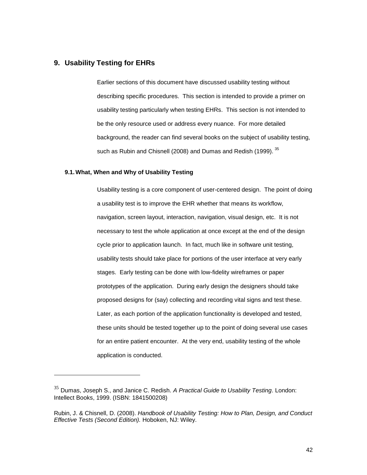# <span id="page-41-0"></span>**9. Usability Testing for EHRs**

l

Earlier sections of this document have discussed usability testing without describing specific procedures. This section is intended to provide a primer on usability testing particularly when testing EHRs. This section is not intended to be the only resource used or address every nuance. For more detailed background, the reader can find several books on the subject of usability testing, such as Rubin and Chisnell (2008) and Dumas and Redish (1999).  $^{35}$ 

#### <span id="page-41-1"></span>**9.1.What, When and Why of Usability Testing**

Usability testing is a core component of user-centered design. The point of doing a usability test is to improve the EHR whether that means its workflow, navigation, screen layout, interaction, navigation, visual design, etc. It is not necessary to test the whole application at once except at the end of the design cycle prior to application launch. In fact, much like in software unit testing, usability tests should take place for portions of the user interface at very early stages. Early testing can be done with low-fidelity wireframes or paper prototypes of the application. During early design the designers should take proposed designs for (say) collecting and recording vital signs and test these. Later, as each portion of the application functionality is developed and tested, these units should be tested together up to the point of doing several use cases for an entire patient encounter. At the very end, usability testing of the whole application is conducted.

<sup>35</sup> Dumas, Joseph S., and Janice C. Redish. *A Practical Guide to Usability Testing*. London: Intellect Books, 1999. (ISBN: 1841500208)

Rubin, J. & Chisnell, D. (2008). *Handbook of Usability Testing: How to Plan, Design, and Conduct Effective Tests (Second Edition).* Hoboken, NJ: Wiley.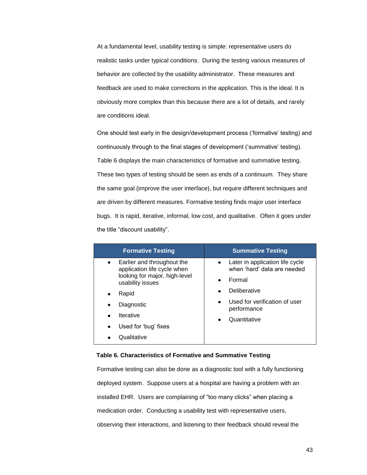At a fundamental level, usability testing is simple: representative users do realistic tasks under typical conditions. During the testing various measures of behavior are collected by the usability administrator. These measures and feedback are used to make corrections in the application. This is the ideal. It is obviously more complex than this because there are a lot of details, and rarely are conditions ideal.

One should test early in the design/development process (‗formative' testing) and continuously through to the final stages of development (‗summative' testing). [Table 6](#page-42-0) displays the main characteristics of formative and summative testing. These two types of testing should be seen as ends of a continuum. They share the same goal (improve the user interface), but require different techniques and are driven by different measures. Formative testing finds major user interface bugs. It is rapid, iterative, informal, low cost, and qualitative. Often it goes under the title "discount usability".

| <b>Formative Testing</b>                                               | <b>Summative Testing</b>                                       |
|------------------------------------------------------------------------|----------------------------------------------------------------|
| Earlier and throughout the<br>$\bullet$<br>application life cycle when | Later in application life cycle<br>when 'hard' data are needed |
| looking for major, high-level<br>usability issues                      | Formal                                                         |
| Rapid<br>٠                                                             | Deliberative<br>٠                                              |
| Diagnostic<br>٠                                                        | Used for verification of user<br>$\bullet$<br>performance      |
| <b>Iterative</b><br>٠                                                  | Quantitative                                                   |
| Used for 'bug' fixes<br>$\bullet$                                      |                                                                |
| Qualitative                                                            |                                                                |

#### <span id="page-42-0"></span>**Table 6. Characteristics of Formative and Summative Testing**

Formative testing can also be done as a diagnostic tool with a fully functioning deployed system. Suppose users at a hospital are having a problem with an installed EHR. Users are complaining of "too many clicks" when placing a medication order. Conducting a usability test with representative users, observing their interactions, and listening to their feedback should reveal the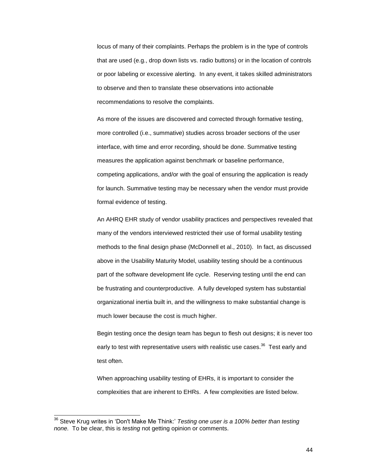locus of many of their complaints. Perhaps the problem is in the type of controls that are used (e.g., drop down lists vs. radio buttons) or in the location of controls or poor labeling or excessive alerting. In any event, it takes skilled administrators to observe and then to translate these observations into actionable recommendations to resolve the complaints.

As more of the issues are discovered and corrected through formative testing, more controlled (i.e., summative) studies across broader sections of the user interface, with time and error recording, should be done. Summative testing measures the application against benchmark or baseline performance, competing applications, and/or with the goal of ensuring the application is ready for launch. Summative testing may be necessary when the vendor must provide formal evidence of testing.

An AHRQ EHR study of vendor usability practices and perspectives revealed that many of the vendors interviewed restricted their use of formal usability testing methods to the final design phase (McDonnell et al., 2010). In fact, as discussed above in the Usability Maturity Model, usability testing should be a continuous part of the software development life cycle. Reserving testing until the end can be frustrating and counterproductive. A fully developed system has substantial organizational inertia built in, and the willingness to make substantial change is much lower because the cost is much higher.

Begin testing once the design team has begun to flesh out designs; it is never too early to test with representative users with realistic use cases.<sup>36</sup> Test early and test often.

When approaching usability testing of EHRs, it is important to consider the complexities that are inherent to EHRs. A few complexities are listed below.

 $\overline{\phantom{a}}$ 

<sup>&</sup>lt;sup>36</sup> Steve Krug writes in 'Don't Make Me Think:' *Testing one user is a 100% better than testing none.* To be clear, this is *testing* not getting opinion or comments.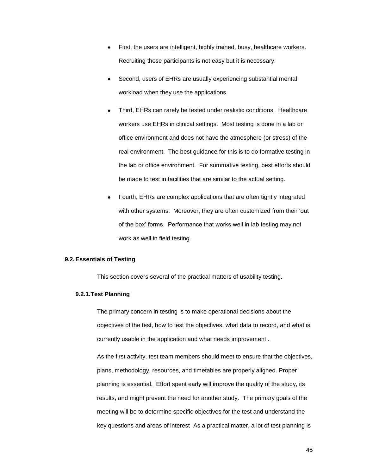- First, the users are intelligent, highly trained, busy, healthcare workers. Recruiting these participants is not easy but it is necessary.
- Second, users of EHRs are usually experiencing substantial mental workload when they use the applications.
- Third, EHRs can rarely be tested under realistic conditions. Healthcare workers use EHRs in clinical settings. Most testing is done in a lab or office environment and does not have the atmosphere (or stress) of the real environment. The best guidance for this is to do formative testing in the lab or office environment. For summative testing, best efforts should be made to test in facilities that are similar to the actual setting.
- Fourth, EHRs are complex applications that are often tightly integrated with other systems. Moreover, they are often customized from their 'out of the box' forms. Performance that works well in lab testing may not work as well in field testing.

#### <span id="page-44-0"></span>**9.2.Essentials of Testing**

This section covers several of the practical matters of usability testing.

#### <span id="page-44-1"></span>**9.2.1.Test Planning**

The primary concern in testing is to make operational decisions about the objectives of the test, how to test the objectives, what data to record, and what is currently usable in the application and what needs improvement .

As the first activity, test team members should meet to ensure that the objectives, plans, methodology, resources, and timetables are properly aligned. Proper planning is essential. Effort spent early will improve the quality of the study, its results, and might prevent the need for another study. The primary goals of the meeting will be to determine specific objectives for the test and understand the key questions and areas of interest As a practical matter, a lot of test planning is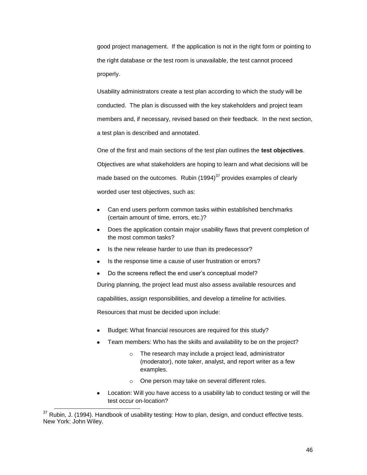good project management. If the application is not in the right form or pointing to the right database or the test room is unavailable, the test cannot proceed properly.

Usability administrators create a test plan according to which the study will be conducted. The plan is discussed with the key stakeholders and project team members and, if necessary, revised based on their feedback. In the next section, a test plan is described and annotated.

One of the first and main sections of the test plan outlines the **test objectives**. Objectives are what stakeholders are hoping to learn and what decisions will be made based on the outcomes. Rubin  $(1994)^{37}$  provides examples of clearly worded user test objectives, such as:

- Can end users perform common tasks within established benchmarks (certain amount of time, errors, etc.)?
- Does the application contain major usability flaws that prevent completion of the most common tasks?
- Is the new release harder to use than its predecessor?
- Is the response time a cause of user frustration or errors?
- Do the screens reflect the end user's conceptual model?

During planning, the project lead must also assess available resources and

capabilities, assign responsibilities, and develop a timeline for activities.

Resources that must be decided upon include:

- Budget: What financial resources are required for this study?
- Team members: Who has the skills and availability to be on the project?
	- o The research may include a project lead, administrator (moderator), note taker, analyst, and report writer as a few examples.
	- o One person may take on several different roles.
- Location: Will you have access to a usability lab to conduct testing or will the test occur on-location?

l

 $37$  Rubin, J. (1994). Handbook of usability testing: How to plan, design, and conduct effective tests. New York: John Wiley.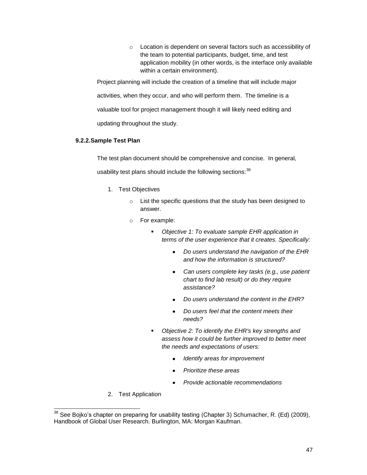o Location is dependent on several factors such as accessibility of the team to potential participants, budget, time, and test application mobility (in other words, is the interface only available within a certain environment).

Project planning will include the creation of a timeline that will include major activities, when they occur, and who will perform them. The timeline is a valuable tool for project management though it will likely need editing and updating throughout the study.

# <span id="page-46-0"></span>**9.2.2.Sample Test Plan**

The test plan document should be comprehensive and concise. In general, usability test plans should include the following sections: 38

- 1. Test Objectives
	- o List the specific questions that the study has been designed to answer.
	- o For example:
		- *Objective 1: To evaluate sample EHR application in terms of the user experience that it creates. Specifically:*
			- *Do users understand the navigation of the EHR*   $\bullet$ *and how the information is structured?*
			- *Can users complete key tasks (e.g., use patient chart to find lab result) or do they require assistance?*
			- *Do users understand the content in the EHR?*
			- *Do users feel that the content meets their needs?*
		- *Objective 2: To identify the EHR's key strengths and assess how it could be further improved to better meet the needs and expectations of users:*
			- $\bullet$ *Identify areas for improvement*
			- *Prioritize these areas*  $\bullet$
			- *Provide actionable recommendations*  $\bullet$
- 2. Test Application

l

 $38$  See Bojko's chapter on preparing for usability testing (Chapter 3) Schumacher, R. (Ed) (2009), Handbook of Global User Research. Burlington, MA: Morgan Kaufman.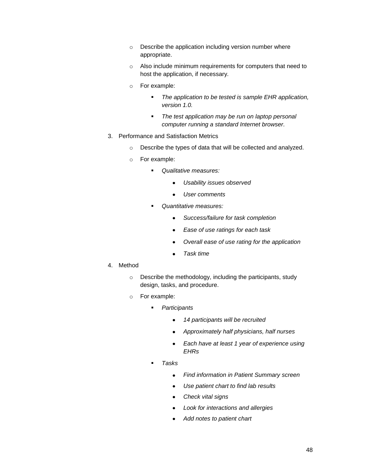- o Describe the application including version number where appropriate.
- o Also include minimum requirements for computers that need to host the application, if necessary.
- o For example:
	- *The application to be tested is sample EHR application, version 1.0.*
	- *The test application may be run on laptop personal computer running a standard Internet browser.*
- 3. Performance and Satisfaction Metrics
	- o Describe the types of data that will be collected and analyzed.
	- o For example:
		- *Qualitative measures:*
			- *Usability issues observed*  $\bullet$
			- *User comments*  $\bullet$
		- *Quantitative measures:*
			- *Success/failure for task completion*  $\bullet$
			- *Ease of use ratings for each task*  $\bullet$
			- *Overall ease of use rating for the application*  $\bullet$
			- *Task time*
- 4. Method
	- o Describe the methodology, including the participants, study design, tasks, and procedure.
	- o For example:
		- *Participants*
			- $\bullet$ *14 participants will be recruited*
			- *Approximately half physicians, half nurses*  $\bullet$
			- *Each have at least 1 year of experience using*   $\bullet$ *EHRs*
		- *Tasks*
			- $\bullet$ *Find information in Patient Summary screen*
			- $\bullet$ *Use patient chart to find lab results*
			- *Check vital signs*  $\bullet$
			- *Look for interactions and allergies*  $\bullet$
			- *Add notes to patient chart*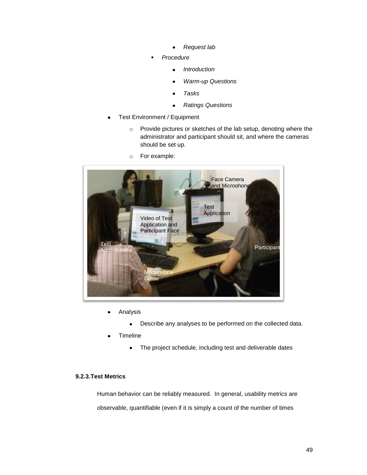- *Request lab*  $\bullet$
- *Procedure*
	- *Introduction*  $\bullet$
	- *Warm-up Questions*  $\bullet$
	- *Tasks*  $\bullet$
	- $\bullet$ *Ratings Questions*
- Test Environment / Equipment
	- o Provide pictures or sketches of the lab setup, denoting where the administrator and participant should sit, and where the cameras should be set up.
	- o For example:



- Analysis
	- Describe any analyses to be performed on the collected data.  $\bullet$
- **Timeline** 
	- The project schedule, including test and deliverable dates  $\bullet$

# <span id="page-48-0"></span>**9.2.3.Test Metrics**

Human behavior can be reliably measured. In general, usability metrics are observable, quantifiable (even if it is simply a count of the number of times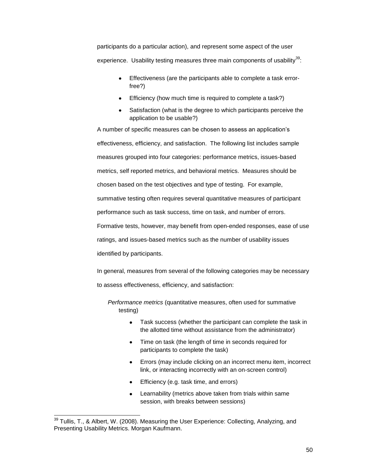participants do a particular action), and represent some aspect of the user experience. Usability testing measures three main components of usability $39$ :

- Effectiveness (are the participants able to complete a task errorfree?)
- **Efficiency (how much time is required to complete a task?)**
- Satisfaction (what is the degree to which participants perceive the application to be usable?)

A number of specific measures can be chosen to assess an application's effectiveness, efficiency, and satisfaction. The following list includes sample measures grouped into four categories: performance metrics, issues-based metrics, self reported metrics, and behavioral metrics. Measures should be chosen based on the test objectives and type of testing. For example, summative testing often requires several quantitative measures of participant performance such as task success, time on task, and number of errors. Formative tests, however, may benefit from open-ended responses, ease of use ratings, and issues-based metrics such as the number of usability issues identified by participants.

In general, measures from several of the following categories may be necessary to assess effectiveness, efficiency, and satisfaction:

*Performance metrics* (quantitative measures, often used for summative testing)

- $\bullet$ Task success (whether the participant can complete the task in the allotted time without assistance from the administrator)
- Time on task (the length of time in seconds required for participants to complete the task)
- Errors (may include clicking on an incorrect menu item, incorrect link, or interacting incorrectly with an on-screen control)
- Efficiency (e.g. task time, and errors)
- Learnability (metrics above taken from trials within same session, with breaks between sessions)

 $\overline{\phantom{a}}$ 

 $39$  Tullis, T., & Albert, W. (2008). Measuring the User Experience: Collecting, Analyzing, and Presenting Usability Metrics. Morgan Kaufmann.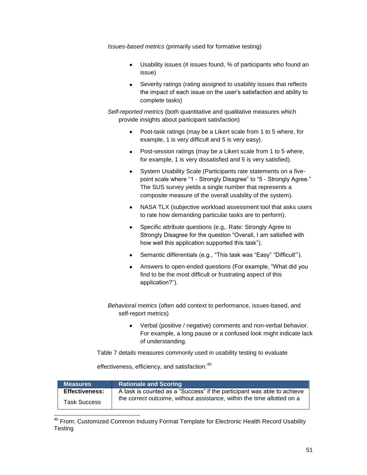*Issues-based metrics* (primarily used for formative testing)

- Usability issues (# issues found, % of participants who found an  $\bullet$ issue)
- Severity ratings (rating assigned to usability issues that reflects  $\bullet$ the impact of each issue on the user's satisfaction and ability to complete tasks)

*Self-reported metrics* (both quantitative and qualitative measures which provide insights about participant satisfaction)

- Post-task ratings (may be a Likert scale from 1 to 5 where, for  $\bullet$ example, 1 is very difficult and 5 is very easy).
- Post-session ratings (may be a Likert scale from 1 to 5 where, for example, 1 is very dissatisfied and 5 is very satisfied).
- System Usability Scale (Participants rate statements on a fivepoint scale where "1 - Strongly Disagree" to "5 - Strongly Agree." The SUS survey yields a single number that represents a composite measure of the overall usability of the system).
- NASA TLX (subjective workload assessment tool that asks users to rate how demanding particular tasks are to perform).
- Specific attribute questions (e.g,. Rate: Strongly Agree to  $\bullet$ Strongly Disagree for the question "Overall, I am satisfied with how well this application supported this task").
- Semantic differentials (e.g., "This task was "Easy" "Difficult"").
- Answers to open-ended questions (For example, "What did you  $\bullet$ find to be the most difficult or frustrating aspect of this application?").

*Behavioral metrics* (often add context to performance, issues-based, and self-report metrics)

> $\bullet$ Verbal (positive / negative) comments and non-verbal behavior. For example, a long pause or a confused look might indicate lack of understanding.

[Table 7](#page-52-2) details measures commonly used in usability testing to evaluate

effectiveness, efficiency, and satisfaction:<sup>40</sup>

j

| <b>Measures</b>       | <b>Rationale and Scoring</b>                                            |
|-----------------------|-------------------------------------------------------------------------|
| <b>Effectiveness:</b> | A task is counted as a "Success" if the participant was able to achieve |
| Task Success          | the correct outcome, without assistance, within the time allotted on a  |

<sup>40</sup> From: Customized Common Industry Format Template for Electronic Health Record Usability **Testing**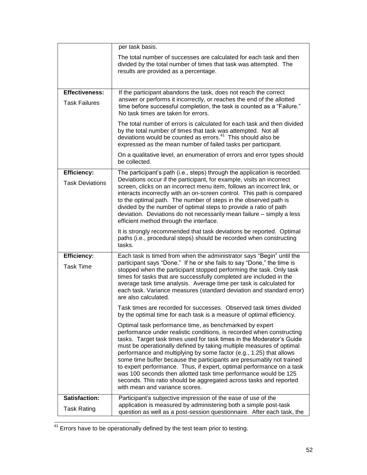|                                               | per task basis.                                                                                                                                                                                                                                                                                                                                                                                                                                                                                                                                                                                                                                                                       |
|-----------------------------------------------|---------------------------------------------------------------------------------------------------------------------------------------------------------------------------------------------------------------------------------------------------------------------------------------------------------------------------------------------------------------------------------------------------------------------------------------------------------------------------------------------------------------------------------------------------------------------------------------------------------------------------------------------------------------------------------------|
|                                               | The total number of successes are calculated for each task and then<br>divided by the total number of times that task was attempted. The<br>results are provided as a percentage.                                                                                                                                                                                                                                                                                                                                                                                                                                                                                                     |
| <b>Effectiveness:</b><br><b>Task Failures</b> | If the participant abandons the task, does not reach the correct<br>answer or performs it incorrectly, or reaches the end of the allotted<br>time before successful completion, the task is counted as a "Failure."<br>No task times are taken for errors.                                                                                                                                                                                                                                                                                                                                                                                                                            |
|                                               | The total number of errors is calculated for each task and then divided<br>by the total number of times that task was attempted. Not all<br>deviations would be counted as errors. <sup>41</sup> This should also be<br>expressed as the mean number of failed tasks per participant.                                                                                                                                                                                                                                                                                                                                                                                                 |
|                                               | On a qualitative level, an enumeration of errors and error types should<br>be collected.                                                                                                                                                                                                                                                                                                                                                                                                                                                                                                                                                                                              |
| <b>Efficiency:</b><br><b>Task Deviations</b>  | The participant's path (i.e., steps) through the application is recorded.<br>Deviations occur if the participant, for example, visits an incorrect<br>screen, clicks on an incorrect menu item, follows an incorrect link, or<br>interacts incorrectly with an on-screen control. This path is compared<br>to the optimal path. The number of steps in the observed path is<br>divided by the number of optimal steps to provide a ratio of path<br>deviation. Deviations do not necessarily mean failure - simply a less<br>efficient method through the interface.                                                                                                                  |
|                                               | It is strongly recommended that task deviations be reported. Optimal<br>paths (i.e., procedural steps) should be recorded when constructing<br>tasks.                                                                                                                                                                                                                                                                                                                                                                                                                                                                                                                                 |
| <b>Efficiency:</b><br><b>Task Time</b>        | Each task is timed from when the administrator says "Begin" until the<br>participant says "Done." If he or she fails to say "Done," the time is<br>stopped when the participant stopped performing the task. Only task<br>times for tasks that are successfully completed are included in the<br>average task time analysis. Average time per task is calculated for<br>each task. Variance measures (standard deviation and standard error)<br>are also calculated.                                                                                                                                                                                                                  |
|                                               | Task times are recorded for successes. Observed task times divided<br>by the optimal time for each task is a measure of optimal efficiency.                                                                                                                                                                                                                                                                                                                                                                                                                                                                                                                                           |
|                                               | Optimal task performance time, as benchmarked by expert<br>performance under realistic conditions, is recorded when constructing<br>tasks. Target task times used for task times in the Moderator's Guide<br>must be operationally defined by taking multiple measures of optimal<br>performance and multiplying by some factor (e.g., 1.25) that allows<br>some time buffer because the participants are presumably not trained<br>to expert performance. Thus, if expert, optimal performance on a task<br>was 100 seconds then allotted task time performance would be 125<br>seconds. This ratio should be aggregated across tasks and reported<br>with mean and variance scores. |
| <b>Satisfaction:</b><br><b>Task Rating</b>    | Participant's subjective impression of the ease of use of the<br>application is measured by administering both a simple post-task                                                                                                                                                                                                                                                                                                                                                                                                                                                                                                                                                     |
|                                               | question as well as a post-session questionnaire. After each task, the                                                                                                                                                                                                                                                                                                                                                                                                                                                                                                                                                                                                                |

 $41$  Errors have to be operationally defined by the test team prior to testing.

l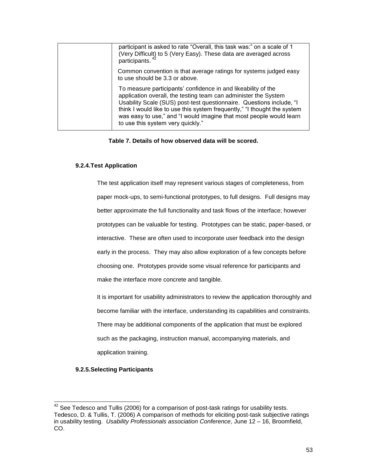| participant is asked to rate "Overall, this task was:" on a scale of 1<br>(Very Difficult) to 5 (Very Easy). These data are averaged across<br>participants. <sup>42</sup>                                                                                                                                                                                                                       |
|--------------------------------------------------------------------------------------------------------------------------------------------------------------------------------------------------------------------------------------------------------------------------------------------------------------------------------------------------------------------------------------------------|
| Common convention is that average ratings for systems judged easy<br>to use should be 3.3 or above.                                                                                                                                                                                                                                                                                              |
| To measure participants' confidence in and likeability of the<br>application overall, the testing team can administer the System<br>Usability Scale (SUS) post-test questionnaire. Questions include, "I<br>think I would like to use this system frequently," "I thought the system<br>was easy to use," and "I would imagine that most people would learn<br>to use this system very quickly." |

#### **Table 7. Details of how observed data will be scored.**

### <span id="page-52-2"></span><span id="page-52-0"></span>**9.2.4.Test Application**

The test application itself may represent various stages of completeness, from paper mock-ups, to semi-functional prototypes, to full designs. Full designs may better approximate the full functionality and task flows of the interface; however prototypes can be valuable for testing. Prototypes can be static, paper-based, or interactive. These are often used to incorporate user feedback into the design early in the process. They may also allow exploration of a few concepts before choosing one. Prototypes provide some visual reference for participants and make the interface more concrete and tangible.

It is important for usability administrators to review the application thoroughly and become familiar with the interface, understanding its capabilities and constraints. There may be additional components of the application that must be explored such as the packaging, instruction manual, accompanying materials, and application training.

# <span id="page-52-1"></span>**9.2.5.Selecting Participants**

l

 $42$  See Tedesco and Tullis (2006) for a comparison of post-task ratings for usability tests. Tedesco, D. & Tullis, T. (2006) A comparison of methods for eliciting post-task subjective ratings in usability testing. *Usability Professionals association Conference*, June 12 – 16, Broomfield, CO.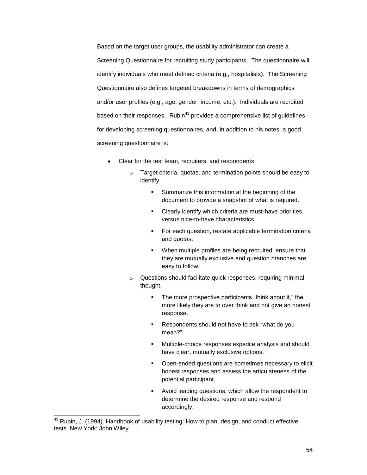Based on the target user groups, the usability administrator can create a Screening Questionnaire for recruiting study participants. The questionnaire will identify individuals who meet defined criteria (e.g., hospitalists). The Screening Questionnaire also defines targeted breakdowns in terms of demographics and/or user profiles (e.g., age, gender, income, etc.). Individuals are recruited based on their responses. Rubin $43$  provides a comprehensive list of guidelines for developing screening questionnaires, and, in addition to his notes, a good screening questionnaire is:

- Clear for the test team, recruiters, and respondents
	- o Target criteria, quotas, and termination points should be easy to identify.
		- **Summarize this information at the beginning of the** document to provide a snapshot of what is required.
		- Clearly identify which criteria are must-have priorities, versus nice-to-have characteristics.
		- **For each question, restate applicable termination criteria** and quotas.
		- When multiple profiles are being recruited, ensure that they are mutually exclusive and question branches are easy to follow.
	- o Questions should facilitate quick responses, requiring minimal thought.
		- The more prospective participants "think about it," the more likely they are to over think and not give an honest response.
		- Respondents should not have to ask "what do you mean?"
		- Multiple-choice responses expedite analysis and should have clear, mutually exclusive options.
		- Open-ended questions are sometimes necessary to elicit honest responses and assess the articulateness of the potential participant.
		- Avoid leading questions, which allow the respondent to determine the desired response and respond accordingly.

j

 $43$  Rubin, J. (1994). Handbook of usability testing: How to plan, design, and conduct effective tests. New York: John Wiley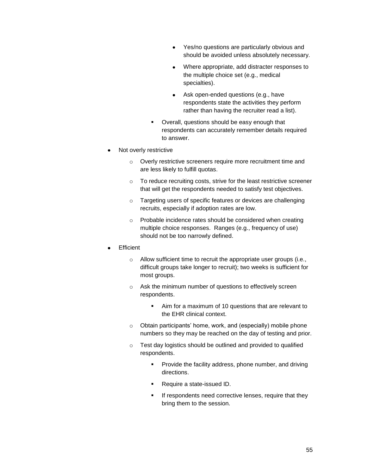- Yes/no questions are particularly obvious and should be avoided unless absolutely necessary.
- Where appropriate, add distracter responses to the multiple choice set (e.g., medical specialties).
- Ask open-ended questions (e.g., have respondents state the activities they perform rather than having the recruiter read a list).
- Overall, questions should be easy enough that respondents can accurately remember details required to answer.
- Not overly restrictive
	- o Overly restrictive screeners require more recruitment time and are less likely to fulfill quotas.
	- o To reduce recruiting costs, strive for the least restrictive screener that will get the respondents needed to satisfy test objectives.
	- o Targeting users of specific features or devices are challenging recruits, especially if adoption rates are low.
	- o Probable incidence rates should be considered when creating multiple choice responses. Ranges (e.g., frequency of use) should not be too narrowly defined.
- **Efficient** 
	- o Allow sufficient time to recruit the appropriate user groups (i.e., difficult groups take longer to recruit); two weeks is sufficient for most groups.
	- o Ask the minimum number of questions to effectively screen respondents.
		- Aim for a maximum of 10 questions that are relevant to the EHR clinical context.
	- o Obtain participants' home, work, and (especially) mobile phone numbers so they may be reached on the day of testing and prior.
	- o Test day logistics should be outlined and provided to qualified respondents.
		- **Provide the facility address, phone number, and driving** directions.
		- Require a state-issued ID.
		- If respondents need corrective lenses, require that they bring them to the session.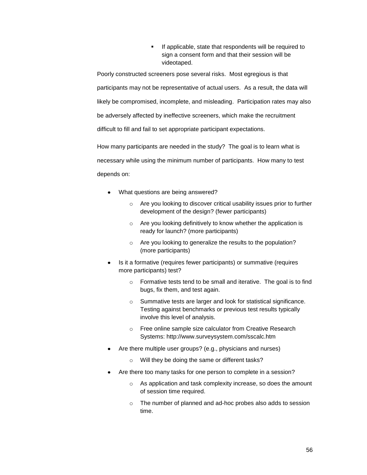If applicable, state that respondents will be required to sign a consent form and that their session will be videotaped.

Poorly constructed screeners pose several risks. Most egregious is that participants may not be representative of actual users. As a result, the data will likely be compromised, incomplete, and misleading. Participation rates may also be adversely affected by ineffective screeners, which make the recruitment difficult to fill and fail to set appropriate participant expectations.

How many participants are needed in the study? The goal is to learn what is necessary while using the minimum number of participants. How many to test depends on:

- What questions are being answered?
	- o Are you looking to discover critical usability issues prior to further development of the design? (fewer participants)
	- o Are you looking definitively to know whether the application is ready for launch? (more participants)
	- o Are you looking to generalize the results to the population? (more participants)
- Is it a formative (requires fewer participants) or summative (requires more participants) test?
	- o Formative tests tend to be small and iterative. The goal is to find bugs, fix them, and test again.
	- o Summative tests are larger and look for statistical significance. Testing against benchmarks or previous test results typically involve this level of analysis.
	- o Free online sample size calculator from Creative Research Systems:<http://www.surveysystem.com/sscalc.htm>
- Are there multiple user groups? (e.g., physicians and nurses)
	- o Will they be doing the same or different tasks?
- Are there too many tasks for one person to complete in a session?
	- o As application and task complexity increase, so does the amount of session time required.
	- o The number of planned and ad-hoc probes also adds to session time.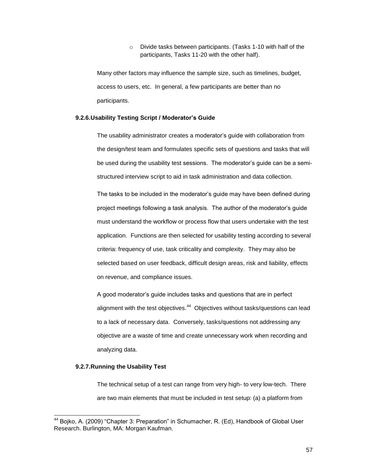o Divide tasks between participants. (Tasks 1-10 with half of the participants, Tasks 11-20 with the other half).

Many other factors may influence the sample size, such as timelines, budget, access to users, etc. In general, a few participants are better than no participants.

#### <span id="page-56-0"></span>**9.2.6.Usability Testing Script / Moderator's Guide**

The usability administrator creates a moderator's guide with collaboration from the design/test team and formulates specific sets of questions and tasks that will be used during the usability test sessions. The moderator's guide can be a semistructured interview script to aid in task administration and data collection.

The tasks to be included in the moderator's guide may have been defined during project meetings following a task analysis. The author of the moderator's guide must understand the workflow or process flow that users undertake with the test application. Functions are then selected for usability testing according to several criteria: frequency of use, task criticality and complexity. They may also be selected based on user feedback, difficult design areas, risk and liability, effects on revenue, and compliance issues.

A good moderator's guide includes tasks and questions that are in perfect alignment with the test objectives.<sup>44</sup> Objectives without tasks/questions can lead to a lack of necessary data. Conversely, tasks/questions not addressing any objective are a waste of time and create unnecessary work when recording and analyzing data.

#### <span id="page-56-1"></span>**9.2.7.Running the Usability Test**

j

The technical setup of a test can range from very high- to very low-tech. There are two main elements that must be included in test setup: (a) a platform from

 $44$  Bojko, A. (2009) "Chapter 3: Preparation" in Schumacher, R. (Ed), Handbook of Global User Research. Burlington, MA: Morgan Kaufman.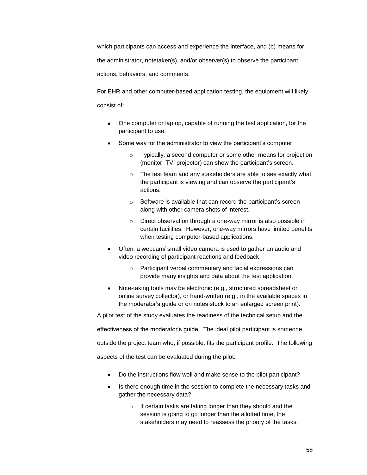which participants can access and experience the interface, and (b) means for the administrator, notetaker(s), and/or observer(s) to observe the participant actions, behaviors, and comments.

For EHR and other computer-based application testing, the equipment will likely consist of:

- One computer or laptop, capable of running the test application, for the participant to use.
- Some way for the administrator to view the participant's computer.
	- o Typically, a second computer or some other means for projection (monitor, TV, projector) can show the participant's screen.
	- o The test team and any stakeholders are able to see exactly what the participant is viewing and can observe the participant's actions.
	- o Software is available that can record the participant's screen along with other camera shots of interest.
	- o Direct observation through a one-way mirror is also possible in certain facilities. However, one-way mirrors have limited benefits when testing computer-based applications.
- Often, a webcam/ small video camera is used to gather an audio and video recording of participant reactions and feedback.
	- o Participant verbal commentary and facial expressions can provide many insights and data about the test application.
- Note-taking tools may be electronic (e.g., structured spreadsheet or  $\bullet$ online survey collector), or hand-written (e.g., in the available spaces in the moderator's guide or on notes stuck to an enlarged screen print).

A pilot test of the study evaluates the readiness of the technical setup and the

effectiveness of the moderator's guide. The ideal pilot participant is someone

outside the project team who, if possible, fits the participant profile. The following

aspects of the test can be evaluated during the pilot:

- Do the instructions flow well and make sense to the pilot participant?
- Is there enough time in the session to complete the necessary tasks and gather the necessary data?
	- o If certain tasks are taking longer than they should and the session is going to go longer than the allotted time, the stakeholders may need to reassess the priority of the tasks.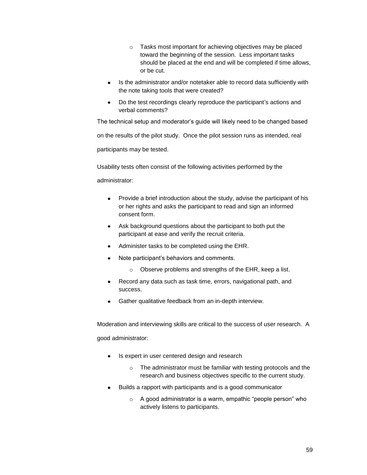- o Tasks most important for achieving objectives may be placed toward the beginning of the session. Less important tasks should be placed at the end and will be completed if time allows, or be cut.
- Is the administrator and/or notetaker able to record data sufficiently with the note taking tools that were created?
- Do the test recordings clearly reproduce the participant's actions and verbal comments?

The technical setup and moderator's guide will likely need to be changed based on the results of the pilot study. Once the pilot session runs as intended, real participants may be tested.

Usability tests often consist of the following activities performed by the

administrator:

- Provide a brief introduction about the study, advise the participant of his or her rights and asks the participant to read and sign an informed consent form.
- Ask background questions about the participant to both put the participant at ease and verify the recruit criteria.
- Administer tasks to be completed using the EHR.
- Note participant's behaviors and comments.
	- o Observe problems and strengths of the EHR, keep a list.
- Record any data such as task time, errors, navigational path, and success.
- Gather qualitative feedback from an in-depth interview.

Moderation and interviewing skills are critical to the success of user research. A good administrator:

- Is expert in user centered design and research
	- o The administrator must be familiar with testing protocols and the research and business objectives specific to the current study.
- Builds a rapport with participants and is a good communicator
	- $\circ$  A good administrator is a warm, empathic "people person" who actively listens to participants.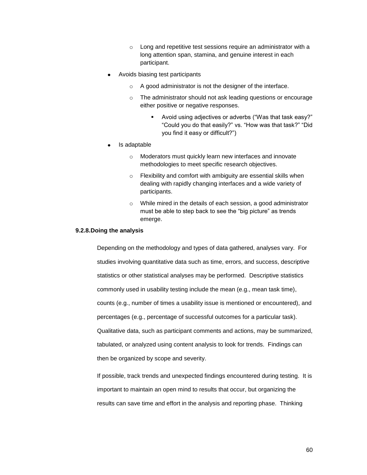- o Long and repetitive test sessions require an administrator with a long attention span, stamina, and genuine interest in each participant.
- Avoids biasing test participants
	- o A good administrator is not the designer of the interface.
	- o The administrator should not ask leading questions or encourage either positive or negative responses.
		- Avoid using adjectives or adverbs ("Was that task easy?" "Could you do that easily?" vs. "How was that task?" "Did you find it easy or difficult?‖)
- Is adaptable
	- o Moderators must quickly learn new interfaces and innovate methodologies to meet specific research objectives.
	- o Flexibility and comfort with ambiguity are essential skills when dealing with rapidly changing interfaces and a wide variety of participants.
	- o While mired in the details of each session, a good administrator must be able to step back to see the "big picture" as trends emerge.

#### <span id="page-59-0"></span>**9.2.8.Doing the analysis**

Depending on the methodology and types of data gathered, analyses vary. For studies involving quantitative data such as time, errors, and success, descriptive statistics or other statistical analyses may be performed. Descriptive statistics commonly used in usability testing include the mean (e.g., mean task time), counts (e.g., number of times a usability issue is mentioned or encountered), and percentages (e.g., percentage of successful outcomes for a particular task). Qualitative data, such as participant comments and actions, may be summarized, tabulated, or analyzed using content analysis to look for trends. Findings can then be organized by scope and severity.

If possible, track trends and unexpected findings encountered during testing. It is important to maintain an open mind to results that occur, but organizing the results can save time and effort in the analysis and reporting phase. Thinking

60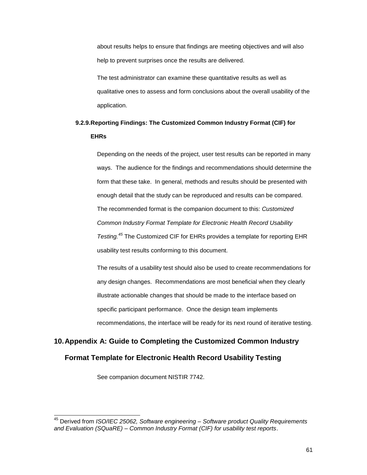about results helps to ensure that findings are meeting objectives and will also help to prevent surprises once the results are delivered.

The test administrator can examine these quantitative results as well as qualitative ones to assess and form conclusions about the overall usability of the application.

# <span id="page-60-0"></span>**9.2.9.Reporting Findings: The Customized Common Industry Format (CIF) for EHRs**

Depending on the needs of the project, user test results can be reported in many ways. The audience for the findings and recommendations should determine the form that these take. In general, methods and results should be presented with enough detail that the study can be reproduced and results can be compared. The recommended format is the companion document to this: *Customized Common Industry Format Template for Electronic Health Record Usability Testing. <sup>45</sup>* The Customized CIF for EHRs provides a template for reporting EHR usability test results conforming to this document.

The results of a usability test should also be used to create recommendations for any design changes. Recommendations are most beneficial when they clearly illustrate actionable changes that should be made to the interface based on specific participant performance. Once the design team implements recommendations, the interface will be ready for its next round of iterative testing.

# <span id="page-60-1"></span>**10.Appendix A: Guide to Completing the Customized Common Industry**

# **Format Template for Electronic Health Record Usability Testing**

See companion document NISTIR 7742.

j

<sup>45</sup> Derived from *ISO/IEC 25062, Software engineering – Software product Quality Requirements and Evaluation (SQuaRE) – Common Industry Format (CIF) for usability test reports*.